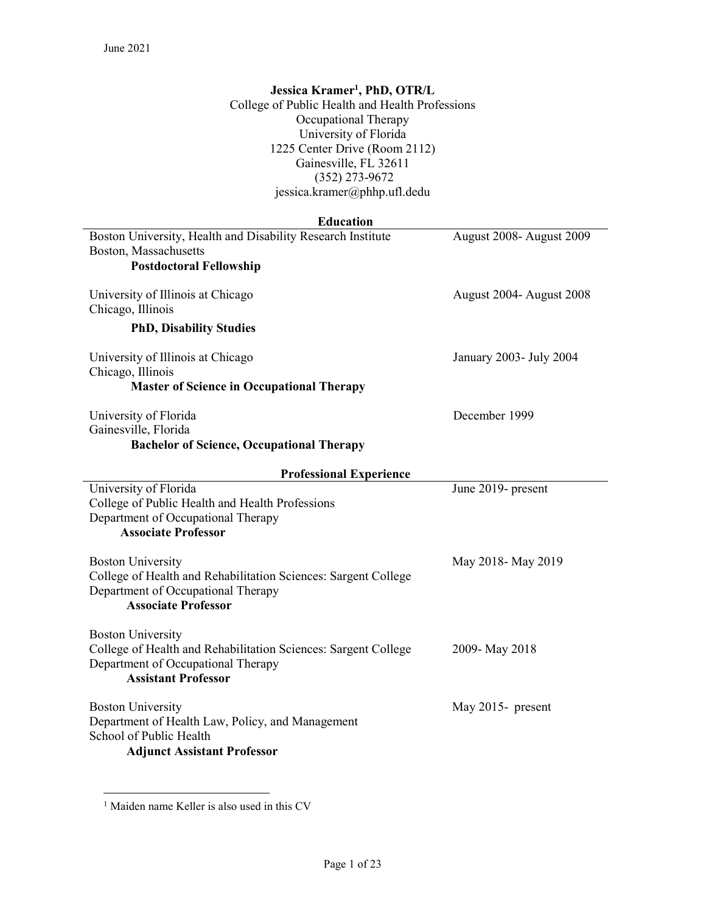## Jessica Kramer<sup>1</sup>, PhD, OTR/L

College of Public Health and Health Professions Occupational Therapy University of Florida 1225 Center Drive (Room 2112) Gainesville, FL 32611 (352) 273-9672 jessica.kramer@phhp.ufl.dedu

## Education

| Boston University, Health and Disability Research Institute      | August 2008- August 2009 |
|------------------------------------------------------------------|--------------------------|
| Boston, Massachusetts<br><b>Postdoctoral Fellowship</b>          |                          |
|                                                                  |                          |
| University of Illinois at Chicago                                | August 2004- August 2008 |
| Chicago, Illinois                                                |                          |
| <b>PhD, Disability Studies</b>                                   |                          |
| University of Illinois at Chicago                                | January 2003- July 2004  |
| Chicago, Illinois                                                |                          |
| <b>Master of Science in Occupational Therapy</b>                 |                          |
| University of Florida                                            | December 1999            |
| Gainesville, Florida                                             |                          |
| <b>Bachelor of Science, Occupational Therapy</b>                 |                          |
| <b>Professional Experience</b>                                   |                          |
| University of Florida                                            | June 2019- present       |
| College of Public Health and Health Professions                  |                          |
| Department of Occupational Therapy<br><b>Associate Professor</b> |                          |
|                                                                  |                          |
| <b>Boston University</b>                                         | May 2018-May 2019        |
| College of Health and Rehabilitation Sciences: Sargent College   |                          |
| Department of Occupational Therapy                               |                          |
| <b>Associate Professor</b>                                       |                          |
| <b>Boston University</b>                                         |                          |
| College of Health and Rehabilitation Sciences: Sargent College   | 2009-May 2018            |
| Department of Occupational Therapy                               |                          |
| <b>Assistant Professor</b>                                       |                          |
| <b>Boston University</b>                                         | May 2015- present        |
| Department of Health Law, Policy, and Management                 |                          |
| School of Public Health                                          |                          |
| <b>Adjunct Assistant Professor</b>                               |                          |
|                                                                  |                          |

 1 Maiden name Keller is also used in this CV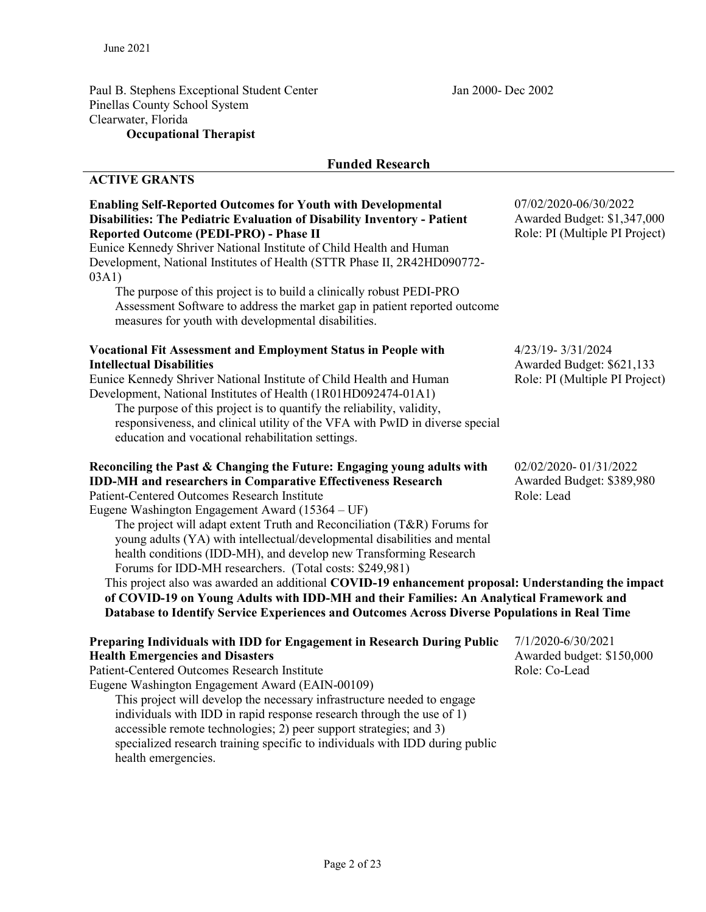Paul B. Stephens Exceptional Student Center Jan 2000- Dec 2002 Pinellas County School System Clearwater, Florida Occupational Therapist

## Funded Research

# ACTIVE GRANTS

health emergencies.

| <b>Enabling Self-Reported Outcomes for Youth with Developmental</b><br>Disabilities: The Pediatric Evaluation of Disability Inventory - Patient<br>Reported Outcome (PEDI-PRO) - Phase II<br>Eunice Kennedy Shriver National Institute of Child Health and Human                                                                                                                                                                                                                                                                                                                                                                                                                                                                                                                                                                                   | 07/02/2020-06/30/2022<br>Awarded Budget: \$1,347,000<br>Role: PI (Multiple PI Project) |
|----------------------------------------------------------------------------------------------------------------------------------------------------------------------------------------------------------------------------------------------------------------------------------------------------------------------------------------------------------------------------------------------------------------------------------------------------------------------------------------------------------------------------------------------------------------------------------------------------------------------------------------------------------------------------------------------------------------------------------------------------------------------------------------------------------------------------------------------------|----------------------------------------------------------------------------------------|
| Development, National Institutes of Health (STTR Phase II, 2R42HD090772-<br>03A1)<br>The purpose of this project is to build a clinically robust PEDI-PRO<br>Assessment Software to address the market gap in patient reported outcome<br>measures for youth with developmental disabilities.                                                                                                                                                                                                                                                                                                                                                                                                                                                                                                                                                      |                                                                                        |
| <b>Vocational Fit Assessment and Employment Status in People with</b><br><b>Intellectual Disabilities</b><br>Eunice Kennedy Shriver National Institute of Child Health and Human<br>Development, National Institutes of Health (1R01HD092474-01A1)<br>The purpose of this project is to quantify the reliability, validity,<br>responsiveness, and clinical utility of the VFA with PwID in diverse special<br>education and vocational rehabilitation settings.                                                                                                                                                                                                                                                                                                                                                                                   | 4/23/19-3/31/2024<br>Awarded Budget: \$621,133<br>Role: PI (Multiple PI Project)       |
| Reconciling the Past & Changing the Future: Engaging young adults with<br><b>IDD-MH</b> and researchers in Comparative Effectiveness Research<br><b>Patient-Centered Outcomes Research Institute</b><br>Eugene Washington Engagement Award (15364 – UF)<br>The project will adapt extent Truth and Reconciliation (T&R) Forums for<br>young adults (YA) with intellectual/developmental disabilities and mental<br>health conditions (IDD-MH), and develop new Transforming Research<br>Forums for IDD-MH researchers. (Total costs: \$249,981)<br>This project also was awarded an additional COVID-19 enhancement proposal: Understanding the impact<br>of COVID-19 on Young Adults with IDD-MH and their Families: An Analytical Framework and<br>Database to Identify Service Experiences and Outcomes Across Diverse Populations in Real Time | 02/02/2020-01/31/2022<br>Awarded Budget: \$389,980<br>Role: Lead                       |
| Preparing Individuals with IDD for Engagement in Research During Public<br><b>Health Emergencies and Disasters</b><br><b>Patient-Centered Outcomes Research Institute</b><br>Eugene Washington Engagement Award (EAIN-00109)<br>This project will develop the necessary infrastructure needed to engage<br>individuals with IDD in rapid response research through the use of 1)<br>accessible remote technologies; 2) peer support strategies; and 3)<br>specialized research training specific to individuals with IDD during public                                                                                                                                                                                                                                                                                                             | 7/1/2020-6/30/2021<br>Awarded budget: \$150,000<br>Role: Co-Lead                       |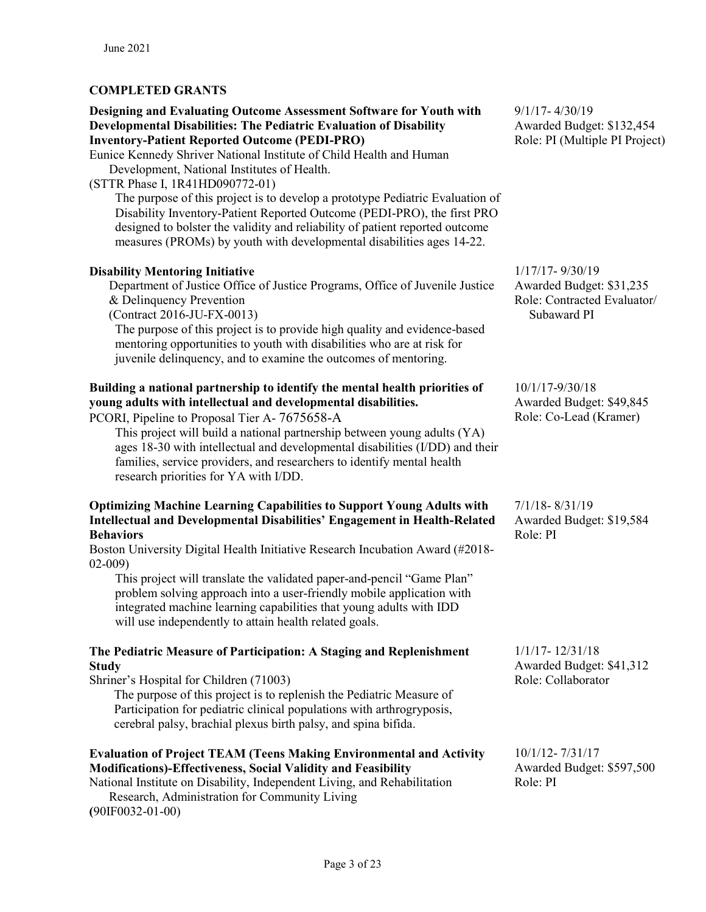# COMPLETED GRANTS

#### Designing and Evaluating Outcome Assessment Software for Youth with Developmental Disabilities: The Pediatric Evaluation of Disability Inventory-Patient Reported Outcome (PEDI-PRO)

Eunice Kennedy Shriver National Institute of Child Health and Human Development, National Institutes of Health.

(STTR Phase I, 1R41HD090772-01)

The purpose of this project is to develop a prototype Pediatric Evaluation of Disability Inventory-Patient Reported Outcome (PEDI-PRO), the first PRO designed to bolster the validity and reliability of patient reported outcome measures (PROMs) by youth with developmental disabilities ages 14-22.

### **Disability Mentoring Initiative 1/17/17-9/30/19** 1/17/17- 9/30/19

Department of Justice Office of Justice Programs, Office of Juvenile Justice & Delinquency Prevention

(Contract 2016-JU-FX-0013)

The purpose of this project is to provide high quality and evidence-based mentoring opportunities to youth with disabilities who are at risk for juvenile delinquency, and to examine the outcomes of mentoring.

# Building a national partnership to identify the mental health priorities of young adults with intellectual and developmental disabilities.

PCORI, Pipeline to Proposal Tier A- 7675658-A

This project will build a national partnership between young adults (YA) ages 18-30 with intellectual and developmental disabilities (I/DD) and their families, service providers, and researchers to identify mental health research priorities for YA with I/DD.

#### Optimizing Machine Learning Capabilities to Support Young Adults with Intellectual and Developmental Disabilities' Engagement in Health-Related Behaviors

Boston University Digital Health Initiative Research Incubation Award (#2018- 02-009)

 This project will translate the validated paper-and-pencil "Game Plan" problem solving approach into a user-friendly mobile application with integrated machine learning capabilities that young adults with IDD will use independently to attain health related goals.

### The Pediatric Measure of Participation: A Staging and Replenishment **Study**

Shriner's Hospital for Children (71003)

The purpose of this project is to replenish the Pediatric Measure of Participation for pediatric clinical populations with arthrogryposis, cerebral palsy, brachial plexus birth palsy, and spina bifida.

# Evaluation of Project TEAM (Teens Making Environmental and Activity Modifications)-Effectiveness, Social Validity and Feasibility

National Institute on Disability, Independent Living, and Rehabilitation Research, Administration for Community Living (90IF0032-01-00)

9/1/17- 4/30/19 Awarded Budget: \$132,454 Role: PI (Multiple PI Project)

Awarded Budget: \$31,235 Role: Contracted Evaluator/ Subaward PI

10/1/17-9/30/18 Awarded Budget: \$49,845 Role: Co-Lead (Kramer)

7/1/18- 8/31/19 Awarded Budget: \$19,584 Role: PI

1/1/17- 12/31/18 Awarded Budget: \$41,312 Role: Collaborator

10/1/12- 7/31/17 Awarded Budget: \$597,500 Role: PI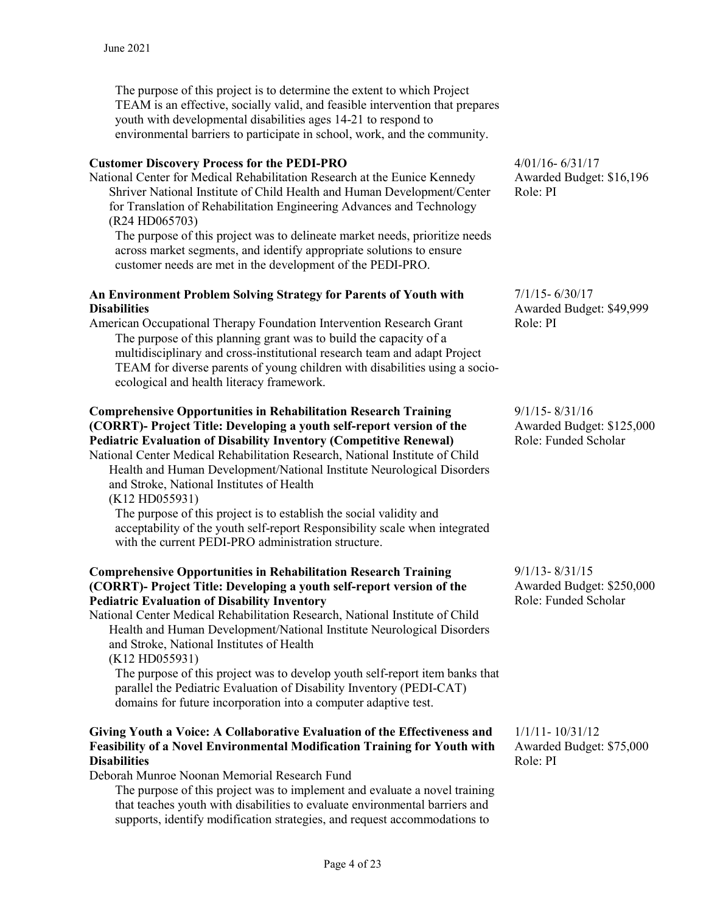The purpose of this project is to determine the extent to which Project TEAM is an effective, socially valid, and feasible intervention that prepares youth with developmental disabilities ages 14-21 to respond to environmental barriers to participate in school, work, and the community.

### Customer Discovery Process for the PEDI-PRO

National Center for Medical Rehabilitation Research at the Eunice Kennedy Shriver National Institute of Child Health and Human Development/Center for Translation of Rehabilitation Engineering Advances and Technology (R24 HD065703)

The purpose of this project was to delineate market needs, prioritize needs across market segments, and identify appropriate solutions to ensure customer needs are met in the development of the PEDI-PRO.

#### An Environment Problem Solving Strategy for Parents of Youth with **Disabilities**

American Occupational Therapy Foundation Intervention Research Grant The purpose of this planning grant was to build the capacity of a multidisciplinary and cross-institutional research team and adapt Project TEAM for diverse parents of young children with disabilities using a socioecological and health literacy framework.

# Comprehensive Opportunities in Rehabilitation Research Training (CORRT)- Project Title: Developing a youth self-report version of the Pediatric Evaluation of Disability Inventory (Competitive Renewal)

National Center Medical Rehabilitation Research, National Institute of Child Health and Human Development/National Institute Neurological Disorders and Stroke, National Institutes of Health

(K12 HD055931)

The purpose of this project is to establish the social validity and acceptability of the youth self-report Responsibility scale when integrated with the current PEDI-PRO administration structure.

#### Comprehensive Opportunities in Rehabilitation Research Training (CORRT)- Project Title: Developing a youth self-report version of the Pediatric Evaluation of Disability Inventory

National Center Medical Rehabilitation Research, National Institute of Child Health and Human Development/National Institute Neurological Disorders and Stroke, National Institutes of Health (K12 HD055931)

 The purpose of this project was to develop youth self-report item banks that parallel the Pediatric Evaluation of Disability Inventory (PEDI-CAT) domains for future incorporation into a computer adaptive test.

#### Giving Youth a Voice: A Collaborative Evaluation of the Effectiveness and Feasibility of a Novel Environmental Modification Training for Youth with **Disabilities**

Deborah Munroe Noonan Memorial Research Fund

The purpose of this project was to implement and evaluate a novel training that teaches youth with disabilities to evaluate environmental barriers and supports, identify modification strategies, and request accommodations to

4/01/16- 6/31/17 Awarded Budget: \$16,196 Role: PI

7/1/15- 6/30/17 Awarded Budget: \$49,999 Role: PI

9/1/15- 8/31/16 Awarded Budget: \$125,000 Role: Funded Scholar

9/1/13- 8/31/15 Awarded Budget: \$250,000 Role: Funded Scholar

1/1/11- 10/31/12 Awarded Budget: \$75,000 Role: PI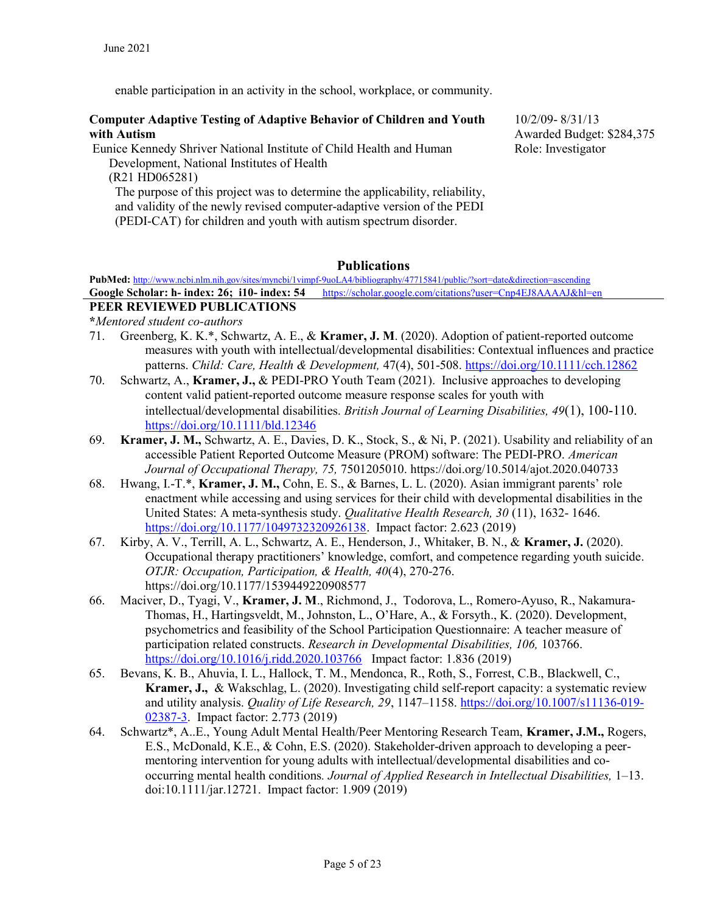enable participation in an activity in the school, workplace, or community.

#### Computer Adaptive Testing of Adaptive Behavior of Children and Youth with Autism

 Eunice Kennedy Shriver National Institute of Child Health and Human Development, National Institutes of Health

(R21 HD065281) The purpose of this project was to determine the applicability, reliability, and validity of the newly revised computer-adaptive version of the PEDI (PEDI-CAT) for children and youth with autism spectrum disorder.

10/2/09- 8/31/13 Awarded Budget: \$284,375 Role: Investigator

# Publications

PubMed: http://www.ncbi.nlm.nih.gov/sites/myncbi/1vimpf-9uoLA4/bibliography/47715841/public/?sort=date&direction=ascending Google Scholar: h- index: 26; i10- index: 54 https://scholar.google.com/citations?user=Cnp4EJ8AAAAJ&hl=en

# PEER REVIEWED PUBLICATIONS

\*Mentored student co-authors

- 71. Greenberg, K. K.\*, Schwartz, A. E., & Kramer, J. M. (2020). Adoption of patient‐reported outcome measures with youth with intellectual/developmental disabilities: Contextual influences and practice patterns. Child: Care, Health & Development, 47(4), 501-508. https://doi.org/10.1111/cch.12862
- 70. Schwartz, A., Kramer, J., & PEDI-PRO Youth Team (2021). Inclusive approaches to developing content valid patient-reported outcome measure response scales for youth with intellectual/developmental disabilities. British Journal of Learning Disabilities, 49(1), 100-110. https://doi.org/10.1111/bld.12346
- 69. Kramer, J. M., Schwartz, A. E., Davies, D. K., Stock, S., & Ni, P. (2021). Usability and reliability of an accessible Patient Reported Outcome Measure (PROM) software: The PEDI-PRO. American Journal of Occupational Therapy, 75, 7501205010. https://doi.org/10.5014/ajot.2020.040733
- 68. Hwang, I.-T.\*, Kramer, J. M., Cohn, E. S., & Barnes, L. L. (2020). Asian immigrant parents' role enactment while accessing and using services for their child with developmental disabilities in the United States: A meta-synthesis study. Qualitative Health Research, 30 (11), 1632- 1646. https://doi.org/10.1177/1049732320926138. Impact factor: 2.623 (2019)
- 67. Kirby, A. V., Terrill, A. L., Schwartz, A. E., Henderson, J., Whitaker, B. N., & Kramer, J. (2020). Occupational therapy practitioners' knowledge, comfort, and competence regarding youth suicide. OTJR: Occupation, Participation, & Health, 40(4), 270-276. https://doi.org/10.1177/1539449220908577
- 66. Maciver, D., Tyagi, V., Kramer, J. M., Richmond, J., Todorova, L., Romero-Ayuso, R., Nakamura-Thomas, H., Hartingsveldt, M., Johnston, L., O'Hare, A., & Forsyth., K. (2020). Development, psychometrics and feasibility of the School Participation Questionnaire: A teacher measure of participation related constructs. Research in Developmental Disabilities, 106, 103766. https://doi.org/10.1016/j.ridd.2020.103766 Impact factor: 1.836 (2019)
- 65. Bevans, K. B., Ahuvia, I. L., Hallock, T. M., Mendonca, R., Roth, S., Forrest, C.B., Blackwell, C., Kramer, J., & Wakschlag, L. (2020). Investigating child self-report capacity: a systematic review and utility analysis. *Quality of Life Research*, 29, 1147-1158. https://doi.org/10.1007/s11136-019-02387-3. Impact factor: 2.773 (2019)
- 64. Schwartz\*, A..E., Young Adult Mental Health/Peer Mentoring Research Team, Kramer, J.M., Rogers, E.S., McDonald, K.E., & Cohn, E.S. (2020). Stakeholder-driven approach to developing a peermentoring intervention for young adults with intellectual/developmental disabilities and cooccurring mental health conditions. Journal of Applied Research in Intellectual Disabilities, 1–13. doi:10.1111/jar.12721. Impact factor: 1.909 (2019)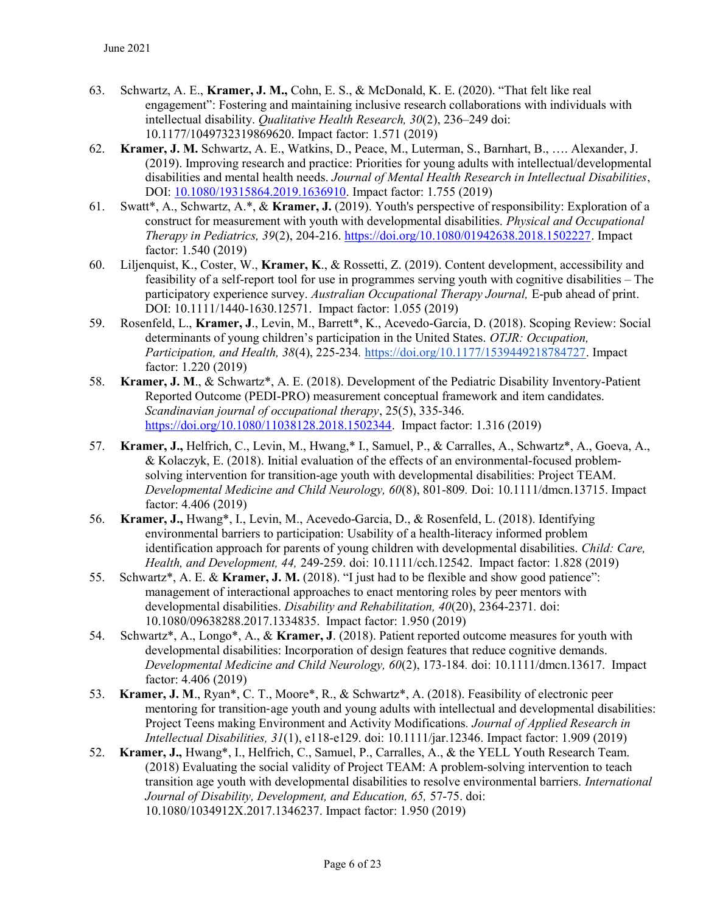- 63. Schwartz, A. E., Kramer, J. M., Cohn, E. S., & McDonald, K. E. (2020). "That felt like real engagement": Fostering and maintaining inclusive research collaborations with individuals with intellectual disability. Qualitative Health Research, 30(2), 236–249 doi: 10.1177/1049732319869620. Impact factor: 1.571 (2019)
- 62. Kramer, J. M. Schwartz, A. E., Watkins, D., Peace, M., Luterman, S., Barnhart, B., …. Alexander, J. (2019). Improving research and practice: Priorities for young adults with intellectual/developmental disabilities and mental health needs. Journal of Mental Health Research in Intellectual Disabilities, DOI: 10.1080/19315864.2019.1636910. Impact factor: 1.755 (2019)
- 61. Swatt\*, A., Schwartz, A.\*, & Kramer, J. (2019). Youth's perspective of responsibility: Exploration of a construct for measurement with youth with developmental disabilities. *Physical and Occupational* Therapy in Pediatrics, 39(2), 204-216. https://doi.org/10.1080/01942638.2018.1502227. Impact factor: 1.540 (2019)
- 60. Liljenquist, K., Coster, W., Kramer, K., & Rossetti, Z. (2019). Content development, accessibility and feasibility of a self-report tool for use in programmes serving youth with cognitive disabilities – The participatory experience survey. Australian Occupational Therapy Journal, E-pub ahead of print. DOI: 10.1111/1440-1630.12571. Impact factor: 1.055 (2019)
- 59. Rosenfeld, L., Kramer, J., Levin, M., Barrett\*, K., Acevedo-Garcia, D. (2018). Scoping Review: Social determinants of young children's participation in the United States. *OTJR: Occupation*, Participation, and Health, 38(4), 225-234. https://doi.org/10.1177/1539449218784727. Impact factor: 1.220 (2019)
- 58. Kramer, J. M., & Schwartz\*, A. E. (2018). Development of the Pediatric Disability Inventory-Patient Reported Outcome (PEDI-PRO) measurement conceptual framework and item candidates. Scandinavian journal of occupational therapy, 25(5), 335-346. https://doi.org/10.1080/11038128.2018.1502344. Impact factor: 1.316 (2019)
- 57. Kramer, J., Helfrich, C., Levin, M., Hwang,\* I., Samuel, P., & Carralles, A., Schwartz\*, A., Goeva, A., & Kolaczyk, E. (2018). Initial evaluation of the effects of an environmental-focused problemsolving intervention for transition-age youth with developmental disabilities: Project TEAM. Developmental Medicine and Child Neurology, 60(8), 801-809. Doi: 10.1111/dmcn.13715. Impact factor: 4.406 (2019)
- 56. Kramer, J., Hwang\*, I., Levin, M., Acevedo-Garcia, D., & Rosenfeld, L. (2018). Identifying environmental barriers to participation: Usability of a health-literacy informed problem identification approach for parents of young children with developmental disabilities. Child: Care, Health, and Development, 44, 249-259. doi: 10.1111/cch.12542. Impact factor: 1.828 (2019)
- 55. Schwartz\*, A. E. & Kramer, J. M. (2018). "I just had to be flexible and show good patience": management of interactional approaches to enact mentoring roles by peer mentors with developmental disabilities. Disability and Rehabilitation, 40(20), 2364-2371. doi: 10.1080/09638288.2017.1334835. Impact factor: 1.950 (2019)
- 54. Schwartz\*, A., Longo\*, A., & Kramer, J. (2018). Patient reported outcome measures for youth with developmental disabilities: Incorporation of design features that reduce cognitive demands. Developmental Medicine and Child Neurology, 60(2), 173-184. doi: 10.1111/dmcn.13617. Impact factor: 4.406 (2019)
- 53. Kramer, J. M., Ryan\*, C. T., Moore\*, R., & Schwartz\*, A. (2018). Feasibility of electronic peer mentoring for transition-age youth and young adults with intellectual and developmental disabilities: Project Teens making Environment and Activity Modifications. Journal of Applied Research in Intellectual Disabilities, 31(1), e118-e129. doi: 10.1111/jar.12346. Impact factor: 1.909 (2019)
- 52. Kramer, J., Hwang\*, I., Helfrich, C., Samuel, P., Carralles, A., & the YELL Youth Research Team. (2018) Evaluating the social validity of Project TEAM: A problem-solving intervention to teach transition age youth with developmental disabilities to resolve environmental barriers. International Journal of Disability, Development, and Education, 65, 57-75. doi: 10.1080/1034912X.2017.1346237. Impact factor: 1.950 (2019)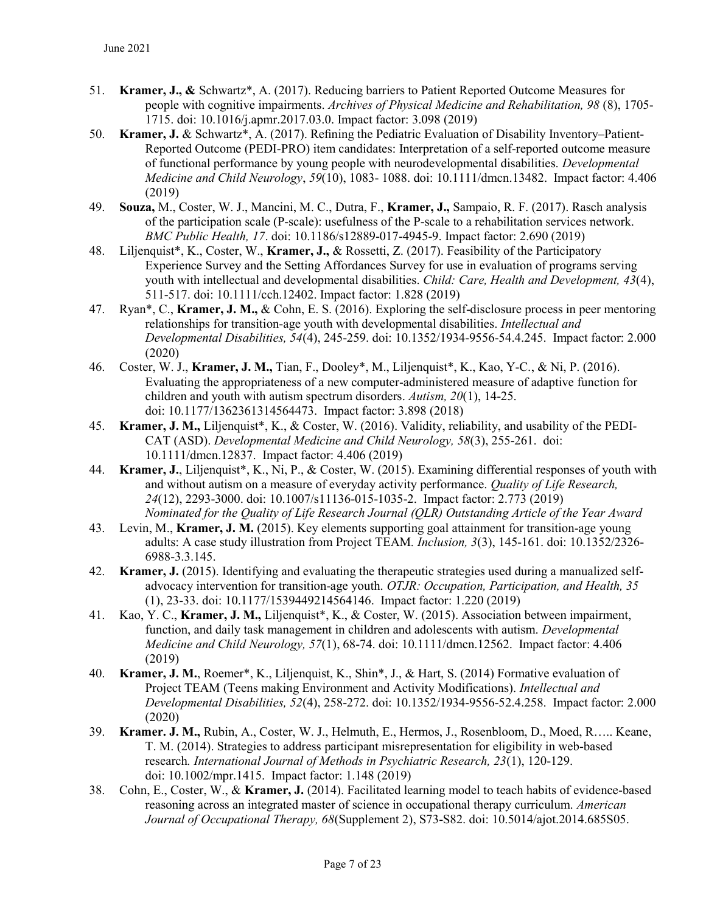- 51. Kramer, J., & Schwartz\*, A. (2017). Reducing barriers to Patient Reported Outcome Measures for people with cognitive impairments. Archives of Physical Medicine and Rehabilitation, 98 (8), 1705- 1715. doi: 10.1016/j.apmr.2017.03.0. Impact factor: 3.098 (2019)
- 50. Kramer, J. & Schwartz\*, A. (2017). Refining the Pediatric Evaluation of Disability Inventory–Patient-Reported Outcome (PEDI-PRO) item candidates: Interpretation of a self-reported outcome measure of functional performance by young people with neurodevelopmental disabilities. Developmental Medicine and Child Neurology, 59(10), 1083- 1088. doi: 10.1111/dmcn.13482. Impact factor: 4.406 (2019)
- 49. Souza, M., Coster, W. J., Mancini, M. C., Dutra, F., Kramer, J., Sampaio, R. F. (2017). Rasch analysis of the participation scale (P-scale): usefulness of the P-scale to a rehabilitation services network. BMC Public Health, 17. doi: 10.1186/s12889-017-4945-9. Impact factor: 2.690 (2019)
- 48. Liljenquist\*, K., Coster, W., Kramer, J., & Rossetti, Z. (2017). Feasibility of the Participatory Experience Survey and the Setting Affordances Survey for use in evaluation of programs serving youth with intellectual and developmental disabilities. Child: Care, Health and Development, 43(4), 511-517. doi: 10.1111/cch.12402. Impact factor: 1.828 (2019)
- 47. Ryan\*, C., Kramer, J. M., & Cohn, E. S. (2016). Exploring the self-disclosure process in peer mentoring relationships for transition-age youth with developmental disabilities. *Intellectual and* Developmental Disabilities, 54(4), 245-259. doi: 10.1352/1934-9556-54.4.245. Impact factor: 2.000 (2020)
- 46. Coster, W. J., Kramer, J. M., Tian, F., Dooley\*, M., Liljenquist\*, K., Kao, Y-C., & Ni, P. (2016). Evaluating the appropriateness of a new computer-administered measure of adaptive function for children and youth with autism spectrum disorders. Autism, 20(1), 14-25. doi: 10.1177/1362361314564473. Impact factor: 3.898 (2018)
- 45. Kramer, J. M., Liljenquist\*, K., & Coster, W. (2016). Validity, reliability, and usability of the PEDI-CAT (ASD). Developmental Medicine and Child Neurology, 58(3), 255-261. doi: 10.1111/dmcn.12837. Impact factor: 4.406 (2019)
- 44. Kramer, J., Liljenquist\*, K., Ni, P., & Coster, W. (2015). Examining differential responses of youth with and without autism on a measure of everyday activity performance. *Ouality of Life Research*, 24(12), 2293-3000. doi: 10.1007/s11136-015-1035-2. Impact factor: 2.773 (2019) Nominated for the Quality of Life Research Journal (QLR) Outstanding Article of the Year Award
- 43. Levin, M., Kramer, J. M. (2015). Key elements supporting goal attainment for transition-age young adults: A case study illustration from Project TEAM. Inclusion, 3(3), 145-161. doi: 10.1352/2326- 6988-3.3.145.
- 42. Kramer, J. (2015). Identifying and evaluating the therapeutic strategies used during a manualized selfadvocacy intervention for transition-age youth. OTJR: Occupation, Participation, and Health, 35 (1), 23-33. doi: 10.1177/1539449214564146. Impact factor: 1.220 (2019)
- 41. Kao, Y. C., Kramer, J. M., Liljenquist\*, K., & Coster, W. (2015). Association between impairment, function, and daily task management in children and adolescents with autism. Developmental Medicine and Child Neurology, 57(1), 68-74. doi: 10.1111/dmcn.12562. Impact factor: 4.406 (2019)
- 40. Kramer, J. M., Roemer\*, K., Liljenquist, K., Shin\*, J., & Hart, S. (2014) Formative evaluation of Project TEAM (Teens making Environment and Activity Modifications). *Intellectual and* Developmental Disabilities, 52(4), 258-272. doi: 10.1352/1934-9556-52.4.258. Impact factor: 2.000 (2020)
- 39. Kramer. J. M., Rubin, A., Coster, W. J., Helmuth, E., Hermos, J., Rosenbloom, D., Moed, R….. Keane, T. M. (2014). Strategies to address participant misrepresentation for eligibility in web-based research. International Journal of Methods in Psychiatric Research, 23(1), 120-129. doi: 10.1002/mpr.1415. Impact factor: 1.148 (2019)
- 38. Cohn, E., Coster, W., & Kramer, J. (2014). Facilitated learning model to teach habits of evidence-based reasoning across an integrated master of science in occupational therapy curriculum. American Journal of Occupational Therapy, 68(Supplement 2), S73-S82. doi: 10.5014/ajot.2014.685S05.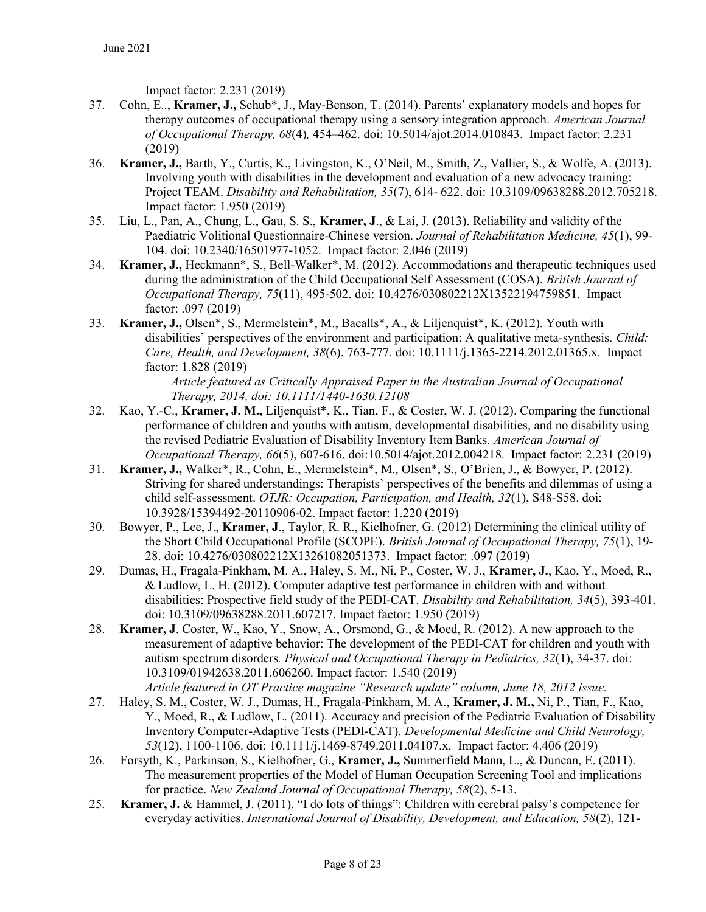Impact factor: 2.231 (2019)

- 37. Cohn, E.., Kramer, J., Schub\*, J., May-Benson, T. (2014). Parents' explanatory models and hopes for therapy outcomes of occupational therapy using a sensory integration approach. American Journal of Occupational Therapy, 68(4), 454–462. doi: 10.5014/ajot.2014.010843. Impact factor: 2.231 (2019)
- 36. Kramer, J., Barth, Y., Curtis, K., Livingston, K., O'Neil, M., Smith, Z., Vallier, S., & Wolfe, A. (2013). Involving youth with disabilities in the development and evaluation of a new advocacy training: Project TEAM. Disability and Rehabilitation, 35(7), 614- 622. doi: 10.3109/09638288.2012.705218. Impact factor: 1.950 (2019)
- 35. Liu, L., Pan, A., Chung, L., Gau, S. S., Kramer, J., & Lai, J. (2013). Reliability and validity of the Paediatric Volitional Questionnaire-Chinese version. Journal of Rehabilitation Medicine, 45(1), 99- 104. doi: 10.2340/16501977-1052. Impact factor: 2.046 (2019)
- 34. Kramer, J., Heckmann\*, S., Bell-Walker\*, M. (2012). Accommodations and therapeutic techniques used during the administration of the Child Occupational Self Assessment (COSA). British Journal of Occupational Therapy, 75(11), 495-502. doi: 10.4276/030802212X13522194759851. Impact factor: .097 (2019)
- 33. Kramer, J., Olsen\*, S., Mermelstein\*, M., Bacalls\*, A., & Liljenquist\*, K. (2012). Youth with disabilities' perspectives of the environment and participation: A qualitative meta-synthesis. Child: Care, Health, and Development, 38(6), 763-777. doi: 10.1111/j.1365-2214.2012.01365.x. Impact factor: 1.828 (2019)

Article featured as Critically Appraised Paper in the Australian Journal of Occupational Therapy, 2014, doi: 10.1111/1440-1630.12108

- 32. Kao, Y.-C., Kramer, J. M., Liljenquist\*, K., Tian, F., & Coster, W. J. (2012). Comparing the functional performance of children and youths with autism, developmental disabilities, and no disability using the revised Pediatric Evaluation of Disability Inventory Item Banks. American Journal of Occupational Therapy, 66(5), 607-616. doi:10.5014/ajot.2012.004218. Impact factor: 2.231 (2019)
- 31. Kramer, J., Walker\*, R., Cohn, E., Mermelstein\*, M., Olsen\*, S., O'Brien, J., & Bowyer, P. (2012). Striving for shared understandings: Therapists' perspectives of the benefits and dilemmas of using a child self-assessment. OTJR: Occupation, Participation, and Health, 32(1), S48-S58. doi: 10.3928/15394492-20110906-02. Impact factor: 1.220 (2019)
- 30. Bowyer, P., Lee, J., Kramer, J., Taylor, R. R., Kielhofner, G. (2012) Determining the clinical utility of the Short Child Occupational Profile (SCOPE). British Journal of Occupational Therapy, 75(1), 19- 28. doi: 10.4276/030802212X13261082051373. Impact factor: .097 (2019)
- 29. Dumas, H., Fragala-Pinkham, M. A., Haley, S. M., Ni, P., Coster, W. J., Kramer, J., Kao, Y., Moed, R., & Ludlow, L. H. (2012). Computer adaptive test performance in children with and without disabilities: Prospective field study of the PEDI-CAT. Disability and Rehabilitation, 34(5), 393-401. doi: 10.3109/09638288.2011.607217. Impact factor: 1.950 (2019)
- 28. Kramer, J. Coster, W., Kao, Y., Snow, A., Orsmond, G., & Moed, R. (2012). A new approach to the measurement of adaptive behavior: The development of the PEDI-CAT for children and youth with autism spectrum disorders. Physical and Occupational Therapy in Pediatrics, 32(1), 34-37. doi: 10.3109/01942638.2011.606260. Impact factor: 1.540 (2019) Article featured in OT Practice magazine "Research update" column, June 18, 2012 issue.
- 27. Haley, S. M., Coster, W. J., Dumas, H., Fragala-Pinkham, M. A., Kramer, J. M., Ni, P., Tian, F., Kao, Y., Moed, R., & Ludlow, L. (2011). Accuracy and precision of the Pediatric Evaluation of Disability Inventory Computer-Adaptive Tests (PEDI-CAT). Developmental Medicine and Child Neurology, 53(12), 1100-1106. doi: 10.1111/j.1469-8749.2011.04107.x. Impact factor: 4.406 (2019)
- 26. Forsyth, K., Parkinson, S., Kielhofner, G., Kramer, J., Summerfield Mann, L., & Duncan, E. (2011). The measurement properties of the Model of Human Occupation Screening Tool and implications for practice. New Zealand Journal of Occupational Therapy, 58(2), 5-13.
- 25. Kramer, J. & Hammel, J. (2011). "I do lots of things": Children with cerebral palsy's competence for everyday activities. International Journal of Disability, Development, and Education, 58(2), 121-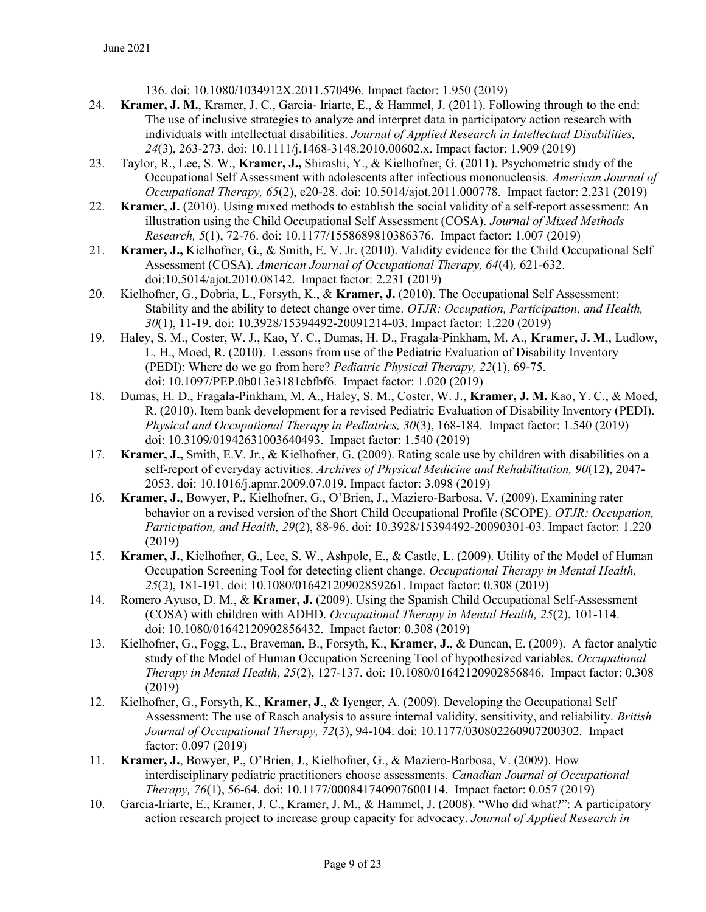136. doi: 10.1080/1034912X.2011.570496. Impact factor: 1.950 (2019)

- 24. Kramer, J. M., Kramer, J. C., Garcia- Iriarte, E., & Hammel, J. (2011). Following through to the end: The use of inclusive strategies to analyze and interpret data in participatory action research with individuals with intellectual disabilities. Journal of Applied Research in Intellectual Disabilities, 24(3), 263-273. doi: 10.1111/j.1468-3148.2010.00602.x. Impact factor: 1.909 (2019)
- 23. Taylor, R., Lee, S. W., Kramer, J., Shirashi, Y., & Kielhofner, G. (2011). Psychometric study of the Occupational Self Assessment with adolescents after infectious mononucleosis. American Journal of Occupational Therapy, 65(2), e20-28. doi: 10.5014/ajot.2011.000778. Impact factor: 2.231 (2019)
- 22. Kramer, J. (2010). Using mixed methods to establish the social validity of a self-report assessment: An illustration using the Child Occupational Self Assessment (COSA). Journal of Mixed Methods Research, 5(1), 72-76. doi: 10.1177/1558689810386376. Impact factor: 1.007 (2019)
- 21. Kramer, J., Kielhofner, G., & Smith, E. V. Jr. (2010). Validity evidence for the Child Occupational Self Assessment (COSA). American Journal of Occupational Therapy, 64(4), 621-632. doi:10.5014/ajot.2010.08142. Impact factor: 2.231 (2019)
- 20. Kielhofner, G., Dobria, L., Forsyth, K., & Kramer, J. (2010). The Occupational Self Assessment: Stability and the ability to detect change over time. OTJR: Occupation, Participation, and Health, 30(1), 11-19. doi: 10.3928/15394492-20091214-03. Impact factor: 1.220 (2019)
- 19. Haley, S. M., Coster, W. J., Kao, Y. C., Dumas, H. D., Fragala-Pinkham, M. A., Kramer, J. M., Ludlow, L. H., Moed, R. (2010). Lessons from use of the Pediatric Evaluation of Disability Inventory (PEDI): Where do we go from here? Pediatric Physical Therapy, 22(1), 69-75. doi: 10.1097/PEP.0b013e3181cbfbf6. Impact factor: 1.020 (2019)
- 18. Dumas, H. D., Fragala-Pinkham, M. A., Haley, S. M., Coster, W. J., Kramer, J. M. Kao, Y. C., & Moed, R. (2010). Item bank development for a revised Pediatric Evaluation of Disability Inventory (PEDI). Physical and Occupational Therapy in Pediatrics, 30(3), 168-184. Impact factor: 1.540 (2019) doi: 10.3109/01942631003640493. Impact factor: 1.540 (2019)
- 17. Kramer, J., Smith, E.V. Jr., & Kielhofner, G. (2009). Rating scale use by children with disabilities on a self-report of everyday activities. Archives of Physical Medicine and Rehabilitation, 90(12), 2047-2053. doi: 10.1016/j.apmr.2009.07.019. Impact factor: 3.098 (2019)
- 16. Kramer, J., Bowyer, P., Kielhofner, G., O'Brien, J., Maziero-Barbosa, V. (2009). Examining rater behavior on a revised version of the Short Child Occupational Profile (SCOPE). OTJR: Occupation, Participation, and Health, 29(2), 88-96. doi: 10.3928/15394492-20090301-03. Impact factor: 1.220 (2019)
- 15. Kramer, J., Kielhofner, G., Lee, S. W., Ashpole, E., & Castle, L. (2009). Utility of the Model of Human Occupation Screening Tool for detecting client change. Occupational Therapy in Mental Health, 25(2), 181-191. doi: 10.1080/01642120902859261. Impact factor: 0.308 (2019)
- 14. Romero Ayuso, D. M., & Kramer, J. (2009). Using the Spanish Child Occupational Self-Assessment (COSA) with children with ADHD. Occupational Therapy in Mental Health, 25(2), 101-114. doi: 10.1080/01642120902856432. Impact factor: 0.308 (2019)
- 13. Kielhofner, G., Fogg, L., Braveman, B., Forsyth, K., Kramer, J., & Duncan, E. (2009). A factor analytic study of the Model of Human Occupation Screening Tool of hypothesized variables. Occupational Therapy in Mental Health, 25(2), 127-137. doi: 10.1080/01642120902856846. Impact factor: 0.308 (2019)
- 12. Kielhofner, G., Forsyth, K., Kramer, J., & Iyenger, A. (2009). Developing the Occupational Self Assessment: The use of Rasch analysis to assure internal validity, sensitivity, and reliability. British Journal of Occupational Therapy, 72(3), 94-104. doi: 10.1177/030802260907200302. Impact factor: 0.097 (2019)
- 11. Kramer, J., Bowyer, P., O'Brien, J., Kielhofner, G., & Maziero-Barbosa, V. (2009). How interdisciplinary pediatric practitioners choose assessments. Canadian Journal of Occupational Therapy, 76(1), 56-64. doi: 10.1177/000841740907600114. Impact factor: 0.057 (2019)
- 10. Garcia-Iriarte, E., Kramer, J. C., Kramer, J. M., & Hammel, J. (2008). "Who did what?": A participatory action research project to increase group capacity for advocacy. Journal of Applied Research in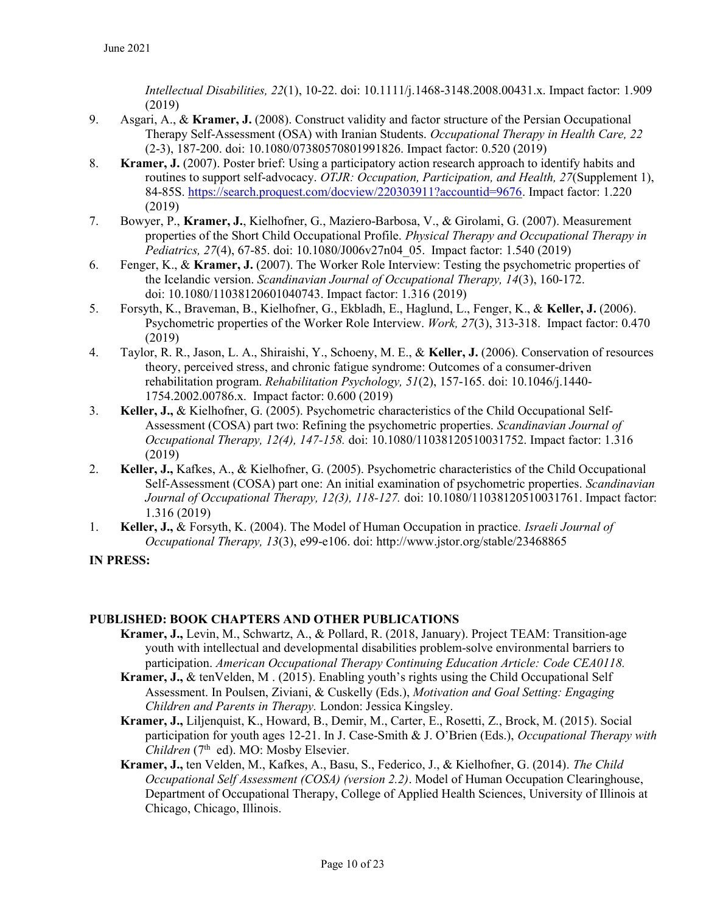Intellectual Disabilities, 22(1), 10-22. doi: 10.1111/j.1468-3148.2008.00431.x. Impact factor: 1.909 (2019)

- 9. Asgari, A., & Kramer, J. (2008). Construct validity and factor structure of the Persian Occupational Therapy Self-Assessment (OSA) with Iranian Students. Occupational Therapy in Health Care, 22 (2-3), 187-200. doi: 10.1080/07380570801991826. Impact factor: 0.520 (2019)
- 8. Kramer, J. (2007). Poster brief: Using a participatory action research approach to identify habits and routines to support self-advocacy. OTJR: Occupation, Participation, and Health, 27(Supplement 1), 84-85S. https://search.proquest.com/docview/220303911?accountid=9676. Impact factor: 1.220 (2019)
- 7. Bowyer, P., Kramer, J., Kielhofner, G., Maziero-Barbosa, V., & Girolami, G. (2007). Measurement properties of the Short Child Occupational Profile. Physical Therapy and Occupational Therapy in Pediatrics, 27(4), 67-85. doi: 10.1080/J006v27n04\_05. Impact factor: 1.540 (2019)
- 6. Fenger, K., & Kramer, J. (2007). The Worker Role Interview: Testing the psychometric properties of the Icelandic version. Scandinavian Journal of Occupational Therapy, 14(3), 160-172. doi: 10.1080/11038120601040743. Impact factor: 1.316 (2019)
- 5. Forsyth, K., Braveman, B., Kielhofner, G., Ekbladh, E., Haglund, L., Fenger, K., & Keller, J. (2006). Psychometric properties of the Worker Role Interview. Work, 27(3), 313-318. Impact factor: 0.470 (2019)
- 4. Taylor, R. R., Jason, L. A., Shiraishi, Y., Schoeny, M. E., & Keller, J. (2006). Conservation of resources theory, perceived stress, and chronic fatigue syndrome: Outcomes of a consumer-driven rehabilitation program. Rehabilitation Psychology,  $51(2)$ , 157-165. doi: 10.1046/j.1440-1754.2002.00786.x. Impact factor: 0.600 (2019)
- 3. Keller, J., & Kielhofner, G. (2005). Psychometric characteristics of the Child Occupational Self-Assessment (COSA) part two: Refining the psychometric properties. Scandinavian Journal of Occupational Therapy, 12(4), 147-158. doi: 10.1080/11038120510031752. Impact factor: 1.316 (2019)
- 2. Keller, J., Kafkes, A., & Kielhofner, G. (2005). Psychometric characteristics of the Child Occupational Self-Assessment (COSA) part one: An initial examination of psychometric properties. Scandinavian Journal of Occupational Therapy, 12(3), 118-127. doi: 10.1080/11038120510031761. Impact factor: 1.316 (2019)
- 1. **Keller, J., &** Forsyth, K. (2004). The Model of Human Occupation in practice. *Israeli Journal of* Occupational Therapy, 13(3), e99-e106. doi: http://www.jstor.org/stable/23468865

#### IN PRESS:

#### PUBLISHED: BOOK CHAPTERS AND OTHER PUBLICATIONS

- Kramer, J., Levin, M., Schwartz, A., & Pollard, R. (2018, January). Project TEAM: Transition-age youth with intellectual and developmental disabilities problem-solve environmental barriers to participation. American Occupational Therapy Continuing Education Article: Code CEA0118.
- **Kramer, J., & tenVelden, M. (2015). Enabling youth's rights using the Child Occupational Self** Assessment. In Poulsen, Ziviani, & Cuskelly (Eds.), Motivation and Goal Setting: Engaging Children and Parents in Therapy. London: Jessica Kingsley.
- Kramer, J., Liljenquist, K., Howard, B., Demir, M., Carter, E., Rosetti, Z., Brock, M. (2015). Social participation for youth ages 12-21. In J. Case-Smith & J. O'Brien (Eds.), Occupational Therapy with Children ( $7<sup>th</sup>$  ed). MO: Mosby Elsevier.
- Kramer, J., ten Velden, M., Kafkes, A., Basu, S., Federico, J., & Kielhofner, G. (2014). The Child Occupational Self Assessment (COSA) (version 2.2). Model of Human Occupation Clearinghouse, Department of Occupational Therapy, College of Applied Health Sciences, University of Illinois at Chicago, Chicago, Illinois.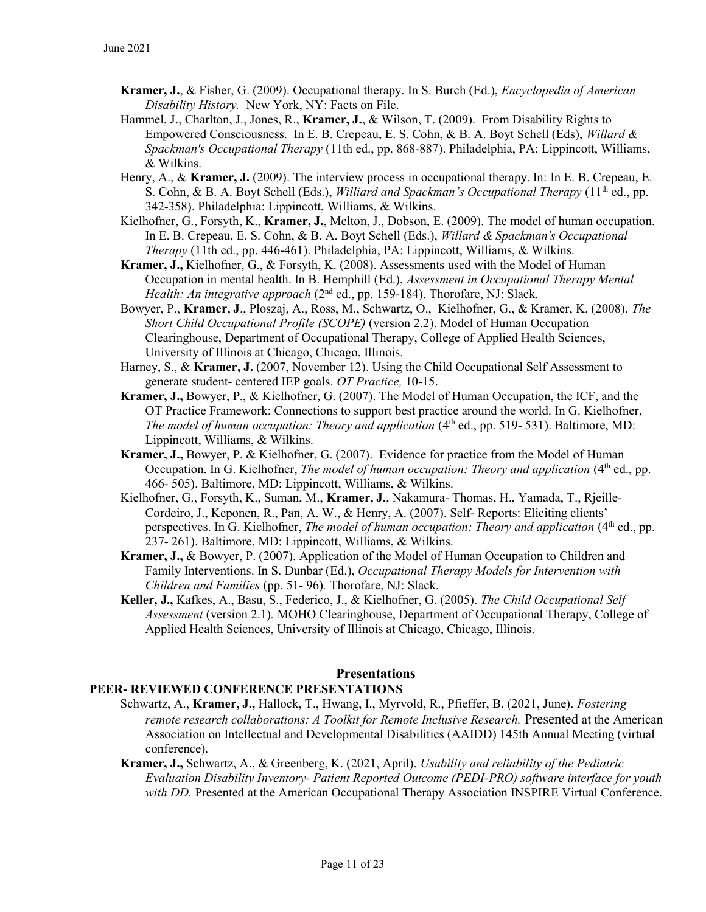- Kramer, J., & Fisher, G. (2009). Occupational therapy. In S. Burch (Ed.), Encyclopedia of American Disability History. New York, NY: Facts on File.
- Hammel, J., Charlton, J., Jones, R., **Kramer, J.**, & Wilson, T. (2009). From Disability Rights to Empowered Consciousness. In E. B. Crepeau, E. S. Cohn, & B. A. Boyt Schell (Eds), Willard & Spackman's Occupational Therapy (11th ed., pp. 868-887). Philadelphia, PA: Lippincott, Williams, & Wilkins.
- Henry, A., & Kramer, J. (2009). The interview process in occupational therapy. In: In E. B. Crepeau, E. S. Cohn, & B. A. Boyt Schell (Eds.), *Williard and Spackman's Occupational Therapy* (11<sup>th</sup> ed., pp. 342-358). Philadelphia: Lippincott, Williams, & Wilkins.
- Kielhofner, G., Forsyth, K., **Kramer, J.**, Melton, J., Dobson, E. (2009). The model of human occupation. In E. B. Crepeau, E. S. Cohn, & B. A. Boyt Schell (Eds.), Willard & Spackman's Occupational Therapy (11th ed., pp. 446-461). Philadelphia, PA: Lippincott, Williams, & Wilkins.
- Kramer, J., Kielhofner, G., & Forsyth, K. (2008). Assessments used with the Model of Human Occupation in mental health. In B. Hemphill (Ed.), Assessment in Occupational Therapy Mental Health: An integrative approach  $(2^{nd}$  ed., pp. 159-184). Thorofare, NJ: Slack.
- Bowyer, P., Kramer, J., Ploszaj, A., Ross, M., Schwartz, O., Kielhofner, G., & Kramer, K. (2008). The Short Child Occupational Profile (SCOPE) (version 2.2). Model of Human Occupation Clearinghouse, Department of Occupational Therapy, College of Applied Health Sciences, University of Illinois at Chicago, Chicago, Illinois.
- Harney, S., & Kramer, J. (2007, November 12). Using the Child Occupational Self Assessment to generate student- centered IEP goals. OT Practice, 10-15.
- Kramer, J., Bowyer, P., & Kielhofner, G. (2007). The Model of Human Occupation, the ICF, and the OT Practice Framework: Connections to support best practice around the world. In G. Kielhofner, The model of human occupation: Theory and application  $(4<sup>th</sup>$  ed., pp. 519-531). Baltimore, MD: Lippincott, Williams, & Wilkins.
- Kramer, J., Bowyer, P. & Kielhofner, G. (2007). Evidence for practice from the Model of Human Occupation. In G. Kielhofner, The model of human occupation: Theory and application (4<sup>th</sup> ed., pp. 466- 505). Baltimore, MD: Lippincott, Williams, & Wilkins.
- Kielhofner, G., Forsyth, K., Suman, M., Kramer, J., Nakamura- Thomas, H., Yamada, T., Rjeille-Cordeiro, J., Keponen, R., Pan, A. W., & Henry, A. (2007). Self- Reports: Eliciting clients' perspectives. In G. Kielhofner, *The model of human occupation: Theory and application* (4<sup>th</sup> ed., pp. 237- 261). Baltimore, MD: Lippincott, Williams, & Wilkins.
- Kramer, J., & Bowyer, P. (2007). Application of the Model of Human Occupation to Children and Family Interventions. In S. Dunbar (Ed.), Occupational Therapy Models for Intervention with Children and Families (pp. 51- 96). Thorofare, NJ: Slack.
- Keller, J., Kafkes, A., Basu, S., Federico, J., & Kielhofner, G. (2005). The Child Occupational Self Assessment (version 2.1). MOHO Clearinghouse, Department of Occupational Therapy, College of Applied Health Sciences, University of Illinois at Chicago, Chicago, Illinois.

#### **Presentations**

#### PEER- REVIEWED CONFERENCE PRESENTATIONS

- Schwartz, A., Kramer, J., Hallock, T., Hwang, I., Myrvold, R., Pfieffer, B. (2021, June). Fostering remote research collaborations: A Toolkit for Remote Inclusive Research. Presented at the American Association on Intellectual and Developmental Disabilities (AAIDD) 145th Annual Meeting (virtual conference).
- Kramer, J., Schwartz, A., & Greenberg, K. (2021, April). Usability and reliability of the Pediatric Evaluation Disability Inventory- Patient Reported Outcome (PEDI-PRO) software interface for youth with DD. Presented at the American Occupational Therapy Association INSPIRE Virtual Conference.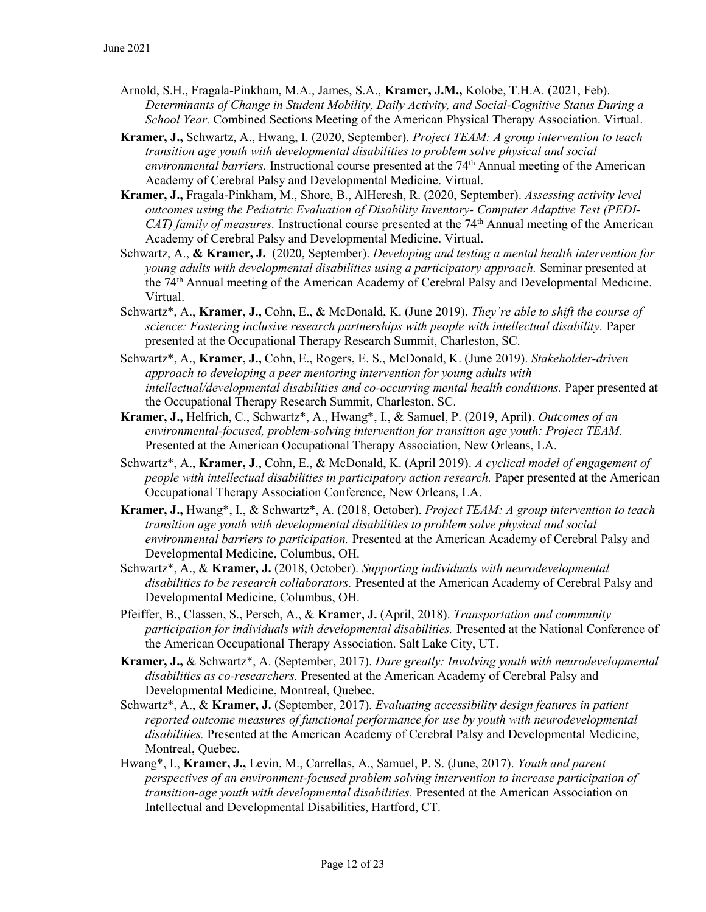- Arnold, S.H., Fragala-Pinkham, M.A., James, S.A., Kramer, J.M., Kolobe, T.H.A. (2021, Feb). Determinants of Change in Student Mobility, Daily Activity, and Social-Cognitive Status During a School Year. Combined Sections Meeting of the American Physical Therapy Association. Virtual.
- Kramer, J., Schwartz, A., Hwang, I. (2020, September). Project TEAM: A group intervention to teach transition age youth with developmental disabilities to problem solve physical and social environmental barriers. Instructional course presented at the  $74<sup>th</sup>$  Annual meeting of the American Academy of Cerebral Palsy and Developmental Medicine. Virtual.
- Kramer, J., Fragala-Pinkham, M., Shore, B., AlHeresh, R. (2020, September). Assessing activity level outcomes using the Pediatric Evaluation of Disability Inventory- Computer Adaptive Test (PEDI- $CAT)$  family of measures. Instructional course presented at the  $74<sup>th</sup>$  Annual meeting of the American Academy of Cerebral Palsy and Developmental Medicine. Virtual.
- Schwartz, A., & Kramer, J. (2020, September). Developing and testing a mental health intervention for young adults with developmental disabilities using a participatory approach. Seminar presented at the 74th Annual meeting of the American Academy of Cerebral Palsy and Developmental Medicine. Virtual.
- Schwartz\*, A., Kramer, J., Cohn, E., & McDonald, K. (June 2019). They're able to shift the course of science: Fostering inclusive research partnerships with people with intellectual disability. Paper presented at the Occupational Therapy Research Summit, Charleston, SC.
- Schwartz\*, A., Kramer, J., Cohn, E., Rogers, E. S., McDonald, K. (June 2019). Stakeholder-driven approach to developing a peer mentoring intervention for young adults with intellectual/developmental disabilities and co-occurring mental health conditions. Paper presented at the Occupational Therapy Research Summit, Charleston, SC.
- Kramer, J., Helfrich, C., Schwartz\*, A., Hwang\*, I., & Samuel, P. (2019, April). Outcomes of an environmental-focused, problem-solving intervention for transition age youth: Project TEAM. Presented at the American Occupational Therapy Association, New Orleans, LA.
- Schwartz\*, A., Kramer, J., Cohn, E., & McDonald, K. (April 2019). A cyclical model of engagement of people with intellectual disabilities in participatory action research. Paper presented at the American Occupational Therapy Association Conference, New Orleans, LA.
- Kramer, J., Hwang\*, I., & Schwartz\*, A. (2018, October). Project TEAM: A group intervention to teach transition age youth with developmental disabilities to problem solve physical and social environmental barriers to participation. Presented at the American Academy of Cerebral Palsy and Developmental Medicine, Columbus, OH.
- Schwartz\*, A., & Kramer, J. (2018, October). Supporting individuals with neurodevelopmental disabilities to be research collaborators. Presented at the American Academy of Cerebral Palsy and Developmental Medicine, Columbus, OH.
- Pfeiffer, B., Classen, S., Persch, A., & Kramer, J. (April, 2018). Transportation and community participation for individuals with developmental disabilities. Presented at the National Conference of the American Occupational Therapy Association. Salt Lake City, UT.
- Kramer, J., & Schwartz\*, A. (September, 2017). Dare greatly: Involving youth with neurodevelopmental disabilities as co-researchers. Presented at the American Academy of Cerebral Palsy and Developmental Medicine, Montreal, Quebec.
- Schwartz\*, A., & Kramer, J. (September, 2017). Evaluating accessibility design features in patient reported outcome measures of functional performance for use by youth with neurodevelopmental disabilities. Presented at the American Academy of Cerebral Palsy and Developmental Medicine, Montreal, Quebec.
- Hwang\*, I., Kramer, J., Levin, M., Carrellas, A., Samuel, P. S. (June, 2017). Youth and parent perspectives of an environment-focused problem solving intervention to increase participation of transition-age youth with developmental disabilities. Presented at the American Association on Intellectual and Developmental Disabilities, Hartford, CT.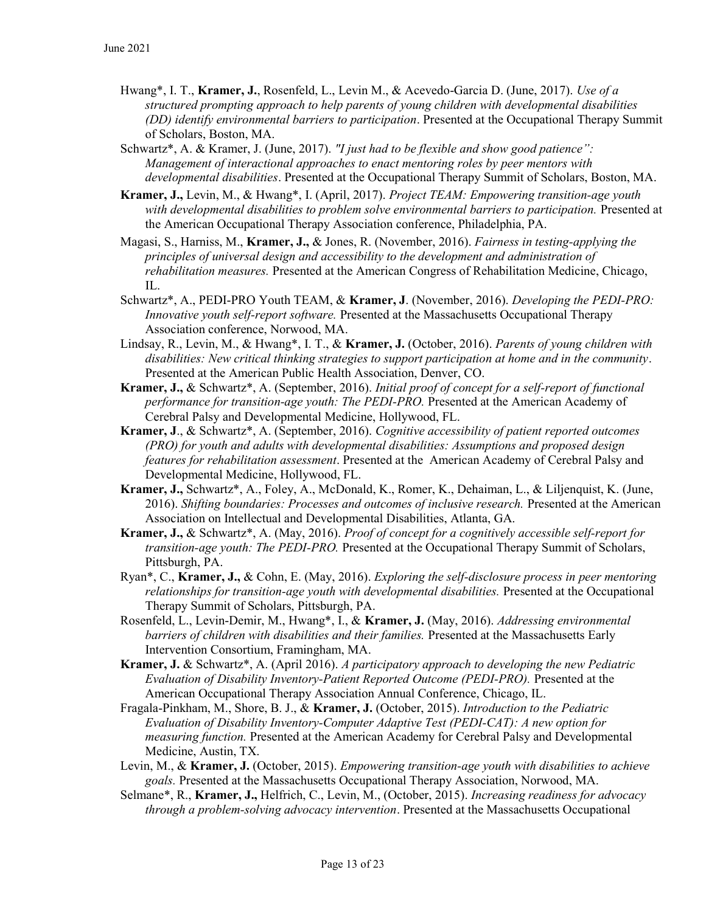- Hwang\*, I. T., Kramer, J., Rosenfeld, L., Levin M., & Acevedo-Garcia D. (June, 2017). Use of a structured prompting approach to help parents of young children with developmental disabilities (DD) identify environmental barriers to participation. Presented at the Occupational Therapy Summit of Scholars, Boston, MA.
- Schwartz\*, A. & Kramer, J. (June, 2017). "I just had to be flexible and show good patience": Management of interactional approaches to enact mentoring roles by peer mentors with developmental disabilities. Presented at the Occupational Therapy Summit of Scholars, Boston, MA.
- Kramer, J., Levin, M., & Hwang\*, I. (April, 2017). Project TEAM: Empowering transition-age youth with developmental disabilities to problem solve environmental barriers to participation. Presented at the American Occupational Therapy Association conference, Philadelphia, PA.
- Magasi, S., Harniss, M., Kramer, J., & Jones, R. (November, 2016). Fairness in testing-applying the principles of universal design and accessibility to the development and administration of rehabilitation measures. Presented at the American Congress of Rehabilitation Medicine, Chicago, IL.
- Schwartz\*, A., PEDI-PRO Youth TEAM, & Kramer, J. (November, 2016). Developing the PEDI-PRO: Innovative youth self-report software. Presented at the Massachusetts Occupational Therapy Association conference, Norwood, MA.
- Lindsay, R., Levin, M., & Hwang\*, I. T., & Kramer, J. (October, 2016). Parents of young children with disabilities: New critical thinking strategies to support participation at home and in the community. Presented at the American Public Health Association, Denver, CO.
- Kramer, J., & Schwartz\*, A. (September, 2016). Initial proof of concept for a self-report of functional performance for transition-age youth: The PEDI-PRO. Presented at the American Academy of Cerebral Palsy and Developmental Medicine, Hollywood, FL.
- Kramer, J., & Schwartz\*, A. (September, 2016). Cognitive accessibility of patient reported outcomes (PRO) for youth and adults with developmental disabilities: Assumptions and proposed design features for rehabilitation assessment. Presented at the American Academy of Cerebral Palsy and Developmental Medicine, Hollywood, FL.
- Kramer, J., Schwartz\*, A., Foley, A., McDonald, K., Romer, K., Dehaiman, L., & Liljenquist, K. (June, 2016). Shifting boundaries: Processes and outcomes of inclusive research. Presented at the American Association on Intellectual and Developmental Disabilities, Atlanta, GA.
- Kramer, J., & Schwartz\*, A. (May, 2016). Proof of concept for a cognitively accessible self-report for transition-age youth: The PEDI-PRO. Presented at the Occupational Therapy Summit of Scholars, Pittsburgh, PA.
- Ryan\*, C., Kramer, J., & Cohn, E. (May, 2016). Exploring the self-disclosure process in peer mentoring relationships for transition-age youth with developmental disabilities. Presented at the Occupational Therapy Summit of Scholars, Pittsburgh, PA.
- Rosenfeld, L., Levin-Demir, M., Hwang\*, I., & Kramer, J. (May, 2016). Addressing environmental barriers of children with disabilities and their families. Presented at the Massachusetts Early Intervention Consortium, Framingham, MA.
- Kramer, J. & Schwartz\*, A. (April 2016). A participatory approach to developing the new Pediatric Evaluation of Disability Inventory-Patient Reported Outcome (PEDI-PRO). Presented at the American Occupational Therapy Association Annual Conference, Chicago, IL.
- Fragala-Pinkham, M., Shore, B. J., & Kramer, J. (October, 2015). Introduction to the Pediatric Evaluation of Disability Inventory-Computer Adaptive Test (PEDI-CAT): A new option for measuring function. Presented at the American Academy for Cerebral Palsy and Developmental Medicine, Austin, TX.
- Levin, M., & Kramer, J. (October, 2015). Empowering transition-age youth with disabilities to achieve goals. Presented at the Massachusetts Occupational Therapy Association, Norwood, MA.
- Selmane\*, R., Kramer, J., Helfrich, C., Levin, M., (October, 2015). Increasing readiness for advocacy through a problem-solving advocacy intervention. Presented at the Massachusetts Occupational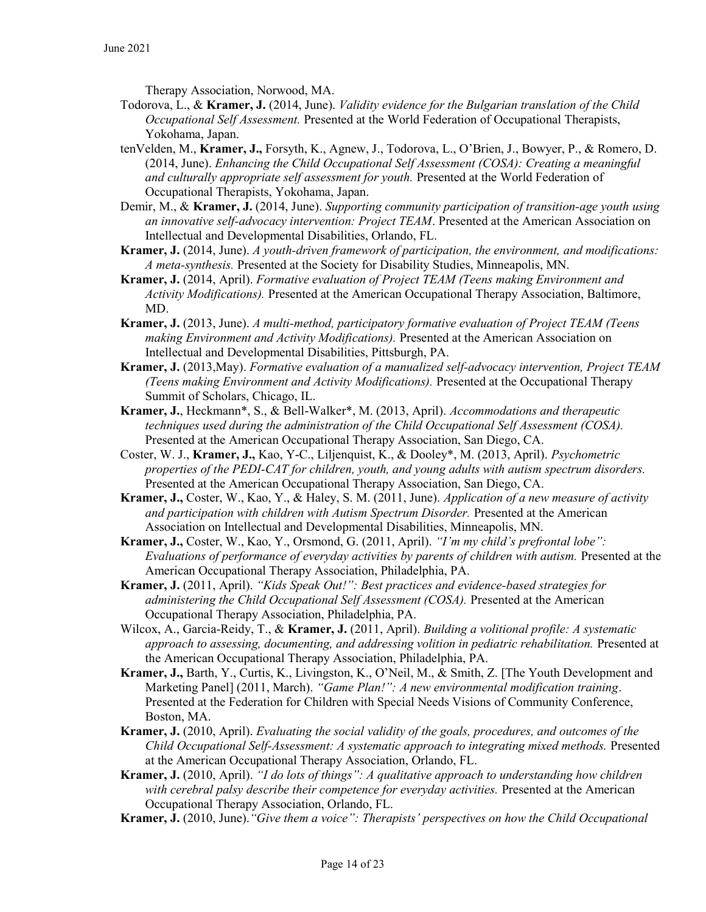Therapy Association, Norwood, MA.

- Todorova, L., & Kramer, J. (2014, June). Validity evidence for the Bulgarian translation of the Child Occupational Self Assessment. Presented at the World Federation of Occupational Therapists, Yokohama, Japan.
- tenVelden, M., Kramer, J., Forsyth, K., Agnew, J., Todorova, L., O'Brien, J., Bowyer, P., & Romero, D. (2014, June). Enhancing the Child Occupational Self Assessment (COSA): Creating a meaningful and culturally appropriate self assessment for youth. Presented at the World Federation of Occupational Therapists, Yokohama, Japan.
- Demir, M., & Kramer, J. (2014, June). Supporting community participation of transition-age youth using an innovative self-advocacy intervention: Project TEAM. Presented at the American Association on Intellectual and Developmental Disabilities, Orlando, FL.
- Kramer, J. (2014, June). A youth-driven framework of participation, the environment, and modifications: A meta-synthesis. Presented at the Society for Disability Studies, Minneapolis, MN.
- Kramer, J. (2014, April). Formative evaluation of Project TEAM (Teens making Environment and Activity Modifications). Presented at the American Occupational Therapy Association, Baltimore, MD.
- Kramer, J. (2013, June). A multi-method, participatory formative evaluation of Project TEAM (Teens making Environment and Activity Modifications). Presented at the American Association on Intellectual and Developmental Disabilities, Pittsburgh, PA.
- Kramer, J. (2013,May). Formative evaluation of a manualized self-advocacy intervention, Project TEAM (Teens making Environment and Activity Modifications). Presented at the Occupational Therapy Summit of Scholars, Chicago, IL.
- Kramer, J., Heckmann\*, S., & Bell-Walker\*, M. (2013, April). Accommodations and therapeutic techniques used during the administration of the Child Occupational Self Assessment (COSA). Presented at the American Occupational Therapy Association, San Diego, CA.
- Coster, W. J., Kramer, J., Kao, Y-C., Liljenquist, K., & Dooley\*, M. (2013, April). Psychometric properties of the PEDI-CAT for children, youth, and young adults with autism spectrum disorders. Presented at the American Occupational Therapy Association, San Diego, CA.
- Kramer, J., Coster, W., Kao, Y., & Haley, S. M. (2011, June). Application of a new measure of activity and participation with children with Autism Spectrum Disorder. Presented at the American Association on Intellectual and Developmental Disabilities, Minneapolis, MN.
- Kramer, J., Coster, W., Kao, Y., Orsmond, G. (2011, April). "I'm my child's prefrontal lobe": Evaluations of performance of everyday activities by parents of children with autism. Presented at the American Occupational Therapy Association, Philadelphia, PA.
- Kramer, J. (2011, April). "Kids Speak Out!": Best practices and evidence-based strategies for administering the Child Occupational Self Assessment (COSA). Presented at the American Occupational Therapy Association, Philadelphia, PA.
- Wilcox, A., Garcia-Reidy, T., & Kramer, J. (2011, April). Building a volitional profile: A systematic approach to assessing, documenting, and addressing volition in pediatric rehabilitation. Presented at the American Occupational Therapy Association, Philadelphia, PA.
- Kramer, J., Barth, Y., Curtis, K., Livingston, K., O'Neil, M., & Smith, Z. [The Youth Development and Marketing Panel] (2011, March). "Game Plan!": A new environmental modification training. Presented at the Federation for Children with Special Needs Visions of Community Conference, Boston, MA.
- Kramer, J. (2010, April). Evaluating the social validity of the goals, procedures, and outcomes of the Child Occupational Self-Assessment: A systematic approach to integrating mixed methods. Presented at the American Occupational Therapy Association, Orlando, FL.
- **Kramer, J.** (2010, April). "I do lots of things": A qualitative approach to understanding how children with cerebral palsy describe their competence for everyday activities. Presented at the American Occupational Therapy Association, Orlando, FL.
- Kramer, J. (2010, June). "Give them a voice": Therapists' perspectives on how the Child Occupational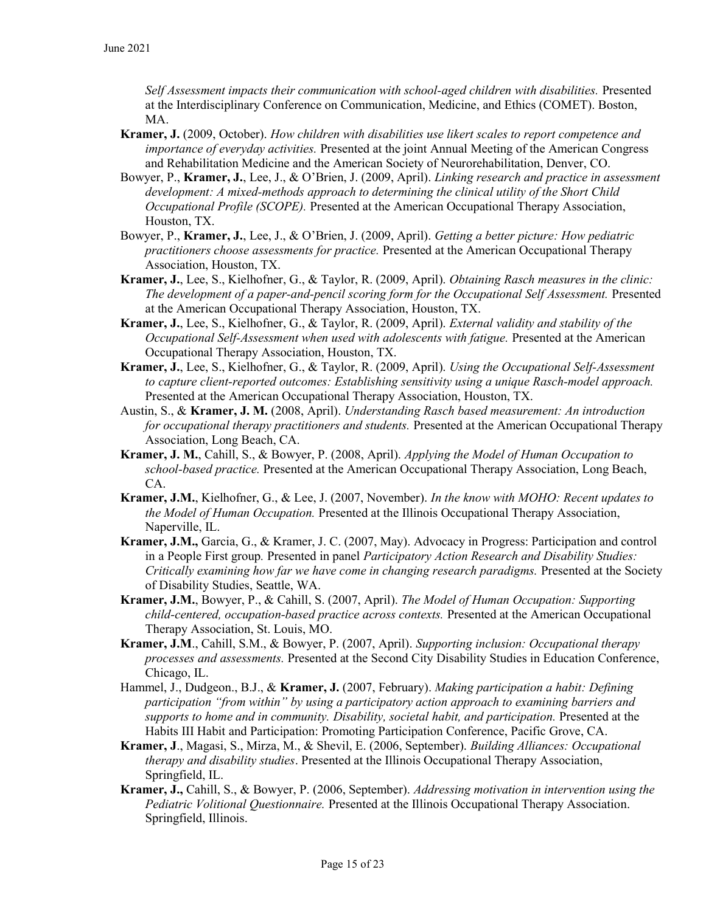Self Assessment impacts their communication with school-aged children with disabilities. Presented at the Interdisciplinary Conference on Communication, Medicine, and Ethics (COMET). Boston, MA.

- Kramer, J. (2009, October). How children with disabilities use likert scales to report competence and importance of everyday activities. Presented at the joint Annual Meeting of the American Congress and Rehabilitation Medicine and the American Society of Neurorehabilitation, Denver, CO.
- Bowyer, P., Kramer, J., Lee, J., & O'Brien, J. (2009, April). Linking research and practice in assessment development: A mixed-methods approach to determining the clinical utility of the Short Child Occupational Profile (SCOPE). Presented at the American Occupational Therapy Association, Houston, TX.
- Bowyer, P., Kramer, J., Lee, J., & O'Brien, J. (2009, April). Getting a better picture: How pediatric practitioners choose assessments for practice. Presented at the American Occupational Therapy Association, Houston, TX.
- Kramer, J., Lee, S., Kielhofner, G., & Taylor, R. (2009, April). Obtaining Rasch measures in the clinic: The development of a paper-and-pencil scoring form for the Occupational Self Assessment. Presented at the American Occupational Therapy Association, Houston, TX.
- Kramer, J., Lee, S., Kielhofner, G., & Taylor, R. (2009, April). External validity and stability of the Occupational Self-Assessment when used with adolescents with fatigue. Presented at the American Occupational Therapy Association, Houston, TX.
- Kramer, J., Lee, S., Kielhofner, G., & Taylor, R. (2009, April). Using the Occupational Self-Assessment to capture client-reported outcomes: Establishing sensitivity using a unique Rasch-model approach. Presented at the American Occupational Therapy Association, Houston, TX.
- Austin, S., & Kramer, J. M. (2008, April). Understanding Rasch based measurement: An introduction for occupational therapy practitioners and students. Presented at the American Occupational Therapy Association, Long Beach, CA.
- Kramer, J. M., Cahill, S., & Bowyer, P. (2008, April). Applying the Model of Human Occupation to school-based practice. Presented at the American Occupational Therapy Association, Long Beach, CA.
- Kramer, J.M., Kielhofner, G., & Lee, J. (2007, November). In the know with MOHO: Recent updates to the Model of Human Occupation. Presented at the Illinois Occupational Therapy Association, Naperville, IL.
- Kramer, J.M., Garcia, G., & Kramer, J. C. (2007, May). Advocacy in Progress: Participation and control in a People First group. Presented in panel *Participatory Action Research and Disability Studies:* Critically examining how far we have come in changing research paradigms. Presented at the Society of Disability Studies, Seattle, WA.
- Kramer, J.M., Bowyer, P., & Cahill, S. (2007, April). The Model of Human Occupation: Supporting child-centered, occupation-based practice across contexts. Presented at the American Occupational Therapy Association, St. Louis, MO.
- Kramer, J.M., Cahill, S.M., & Bowyer, P. (2007, April). Supporting inclusion: Occupational therapy processes and assessments. Presented at the Second City Disability Studies in Education Conference, Chicago, IL.
- Hammel, J., Dudgeon., B.J., & Kramer, J. (2007, February). Making participation a habit: Defining participation "from within" by using a participatory action approach to examining barriers and supports to home and in community. Disability, societal habit, and participation. Presented at the Habits III Habit and Participation: Promoting Participation Conference, Pacific Grove, CA.
- Kramer, J., Magasi, S., Mirza, M., & Shevil, E. (2006, September). Building Alliances: Occupational therapy and disability studies. Presented at the Illinois Occupational Therapy Association, Springfield, IL.
- Kramer, J., Cahill, S., & Bowyer, P. (2006, September). Addressing motivation in intervention using the Pediatric Volitional Questionnaire. Presented at the Illinois Occupational Therapy Association. Springfield, Illinois.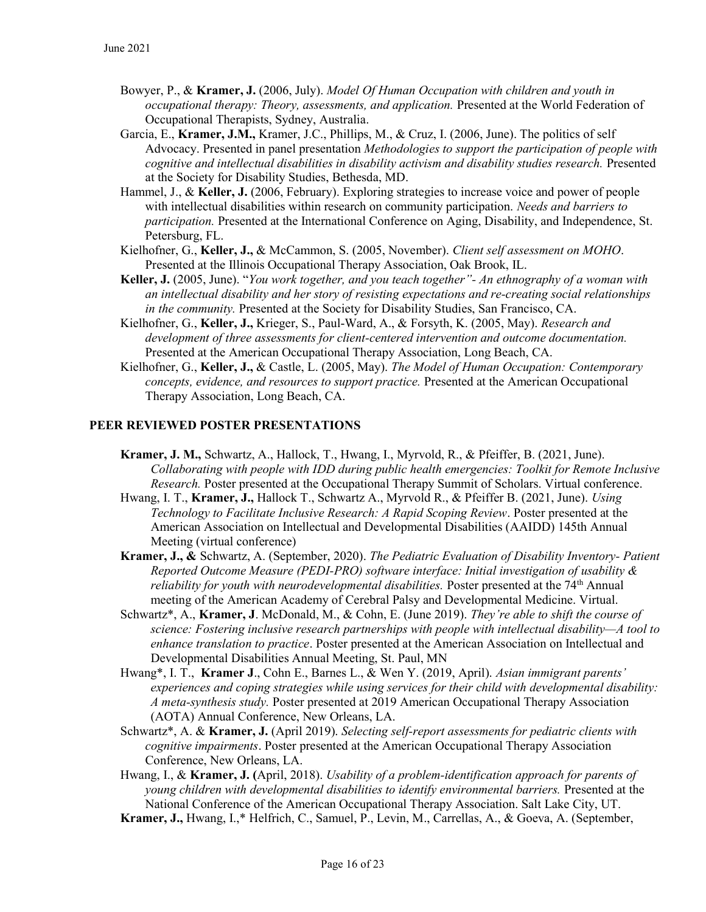- Bowyer, P., & Kramer, J. (2006, July). Model Of Human Occupation with children and youth in occupational therapy: Theory, assessments, and application. Presented at the World Federation of Occupational Therapists, Sydney, Australia.
- Garcia, E., Kramer, J.M., Kramer, J.C., Phillips, M., & Cruz, I. (2006, June). The politics of self Advocacy. Presented in panel presentation Methodologies to support the participation of people with cognitive and intellectual disabilities in disability activism and disability studies research. Presented at the Society for Disability Studies, Bethesda, MD.
- Hammel, J., & Keller, J. (2006, February). Exploring strategies to increase voice and power of people with intellectual disabilities within research on community participation. *Needs and barriers to* participation. Presented at the International Conference on Aging, Disability, and Independence, St. Petersburg, FL.
- Kielhofner, G., Keller, J., & McCammon, S. (2005, November). Client self assessment on MOHO. Presented at the Illinois Occupational Therapy Association, Oak Brook, IL.
- Keller, J. (2005, June). "You work together, and you teach together" An ethnography of a woman with an intellectual disability and her story of resisting expectations and re-creating social relationships in the community. Presented at the Society for Disability Studies, San Francisco, CA.
- Kielhofner, G., Keller, J., Krieger, S., Paul-Ward, A., & Forsyth, K. (2005, May). Research and development of three assessments for client-centered intervention and outcome documentation. Presented at the American Occupational Therapy Association, Long Beach, CA.
- Kielhofner, G., Keller, J., & Castle, L. (2005, May). The Model of Human Occupation: Contemporary concepts, evidence, and resources to support practice. Presented at the American Occupational Therapy Association, Long Beach, CA.

#### PEER REVIEWED POSTER PRESENTATIONS

- Kramer, J. M., Schwartz, A., Hallock, T., Hwang, I., Myrvold, R., & Pfeiffer, B. (2021, June). Collaborating with people with IDD during public health emergencies: Toolkit for Remote Inclusive Research. Poster presented at the Occupational Therapy Summit of Scholars. Virtual conference.
- Hwang, I. T., Kramer, J., Hallock T., Schwartz A., Myrvold R., & Pfeiffer B. (2021, June). Using Technology to Facilitate Inclusive Research: A Rapid Scoping Review. Poster presented at the American Association on Intellectual and Developmental Disabilities (AAIDD) 145th Annual Meeting (virtual conference)
- Kramer, J., & Schwartz, A. (September, 2020). The Pediatric Evaluation of Disability Inventory- Patient Reported Outcome Measure (PEDI-PRO) software interface: Initial investigation of usability & *reliability for youth with neurodevelopmental disabilities.* Poster presented at the  $74<sup>th</sup>$  Annual meeting of the American Academy of Cerebral Palsy and Developmental Medicine. Virtual.
- Schwartz\*, A., Kramer, J. McDonald, M., & Cohn, E. (June 2019). They're able to shift the course of science: Fostering inclusive research partnerships with people with intellectual disability—A tool to enhance translation to practice. Poster presented at the American Association on Intellectual and Developmental Disabilities Annual Meeting, St. Paul, MN
- Hwang\*, I. T., Kramer J., Cohn E., Barnes L., & Wen Y. (2019, April). Asian immigrant parents' experiences and coping strategies while using services for their child with developmental disability: A meta-synthesis study. Poster presented at 2019 American Occupational Therapy Association (AOTA) Annual Conference, New Orleans, LA.
- Schwartz\*, A. & Kramer, J. (April 2019). Selecting self-report assessments for pediatric clients with cognitive impairments. Poster presented at the American Occupational Therapy Association Conference, New Orleans, LA.
- Hwang, I., & Kramer, J. (April, 2018). Usability of a problem-identification approach for parents of young children with developmental disabilities to identify environmental barriers. Presented at the National Conference of the American Occupational Therapy Association. Salt Lake City, UT.
- Kramer, J., Hwang, I.,\* Helfrich, C., Samuel, P., Levin, M., Carrellas, A., & Goeva, A. (September,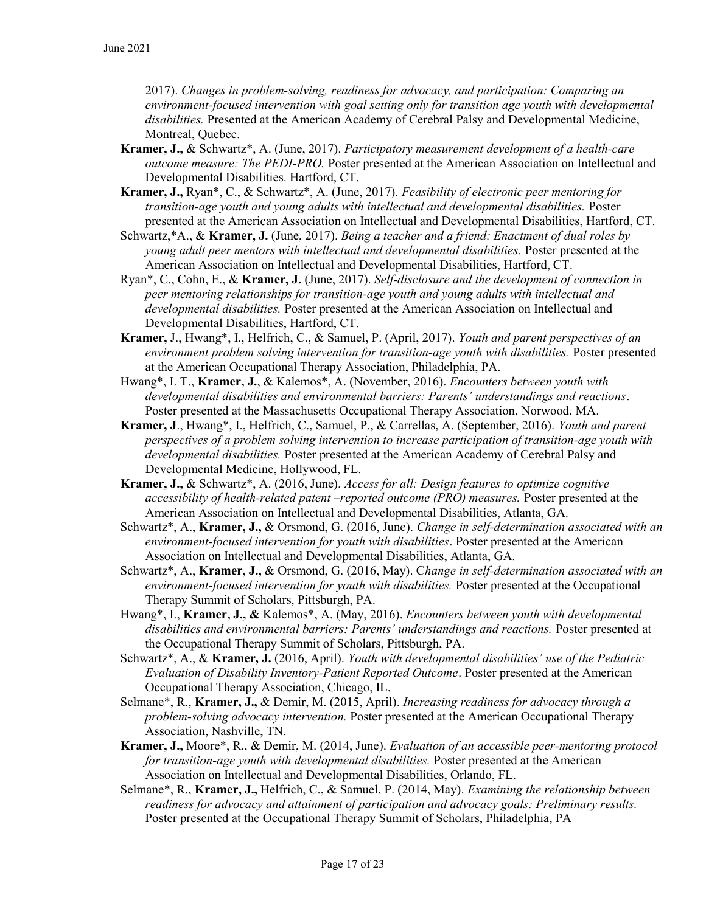2017). Changes in problem-solving, readiness for advocacy, and participation: Comparing an environment-focused intervention with goal setting only for transition age youth with developmental disabilities. Presented at the American Academy of Cerebral Palsy and Developmental Medicine, Montreal, Quebec.

- Kramer, J., & Schwartz\*, A. (June, 2017). Participatory measurement development of a health-care outcome measure: The PEDI-PRO. Poster presented at the American Association on Intellectual and Developmental Disabilities. Hartford, CT.
- Kramer, J., Ryan\*, C., & Schwartz\*, A. (June, 2017). Feasibility of electronic peer mentoring for transition-age youth and young adults with intellectual and developmental disabilities. Poster presented at the American Association on Intellectual and Developmental Disabilities, Hartford, CT.
- Schwartz,\*A., & Kramer, J. (June, 2017). Being a teacher and a friend: Enactment of dual roles by young adult peer mentors with intellectual and developmental disabilities. Poster presented at the American Association on Intellectual and Developmental Disabilities, Hartford, CT.
- Ryan\*, C., Cohn, E., & Kramer, J. (June, 2017). Self-disclosure and the development of connection in peer mentoring relationships for transition-age youth and young adults with intellectual and developmental disabilities. Poster presented at the American Association on Intellectual and Developmental Disabilities, Hartford, CT.
- Kramer, J., Hwang\*, I., Helfrich, C., & Samuel, P. (April, 2017). Youth and parent perspectives of an environment problem solving intervention for transition-age youth with disabilities. Poster presented at the American Occupational Therapy Association, Philadelphia, PA.
- Hwang\*, I. T., Kramer, J., & Kalemos\*, A. (November, 2016). *Encounters between youth with* developmental disabilities and environmental barriers: Parents' understandings and reactions. Poster presented at the Massachusetts Occupational Therapy Association, Norwood, MA.
- Kramer, J., Hwang\*, I., Helfrich, C., Samuel, P., & Carrellas, A. (September, 2016). Youth and parent perspectives of a problem solving intervention to increase participation of transition-age youth with developmental disabilities. Poster presented at the American Academy of Cerebral Palsy and Developmental Medicine, Hollywood, FL.
- Kramer, J., & Schwartz\*, A. (2016, June). Access for all: Design features to optimize cognitive accessibility of health-related patent –reported outcome (PRO) measures. Poster presented at the American Association on Intellectual and Developmental Disabilities, Atlanta, GA.
- Schwartz\*, A., Kramer, J., & Orsmond, G. (2016, June). Change in self-determination associated with an environment-focused intervention for youth with disabilities. Poster presented at the American Association on Intellectual and Developmental Disabilities, Atlanta, GA.
- Schwartz\*, A., Kramer, J., & Orsmond, G. (2016, May). Change in self-determination associated with an environment-focused intervention for youth with disabilities. Poster presented at the Occupational Therapy Summit of Scholars, Pittsburgh, PA.
- Hwang\*, I., Kramer, J., & Kalemos\*, A. (May, 2016). Encounters between youth with developmental disabilities and environmental barriers: Parents' understandings and reactions. Poster presented at the Occupational Therapy Summit of Scholars, Pittsburgh, PA.
- Schwartz\*, A., & Kramer, J. (2016, April). Youth with developmental disabilities' use of the Pediatric Evaluation of Disability Inventory-Patient Reported Outcome. Poster presented at the American Occupational Therapy Association, Chicago, IL.
- Selmane\*, R., Kramer, J., & Demir, M. (2015, April). Increasing readiness for advocacy through a problem-solving advocacy intervention. Poster presented at the American Occupational Therapy Association, Nashville, TN.
- Kramer, J., Moore\*, R., & Demir, M. (2014, June). Evaluation of an accessible peer-mentoring protocol for transition-age youth with developmental disabilities. Poster presented at the American Association on Intellectual and Developmental Disabilities, Orlando, FL.
- Selmane\*, R., Kramer, J., Helfrich, C., & Samuel, P. (2014, May). Examining the relationship between readiness for advocacy and attainment of participation and advocacy goals: Preliminary results. Poster presented at the Occupational Therapy Summit of Scholars, Philadelphia, PA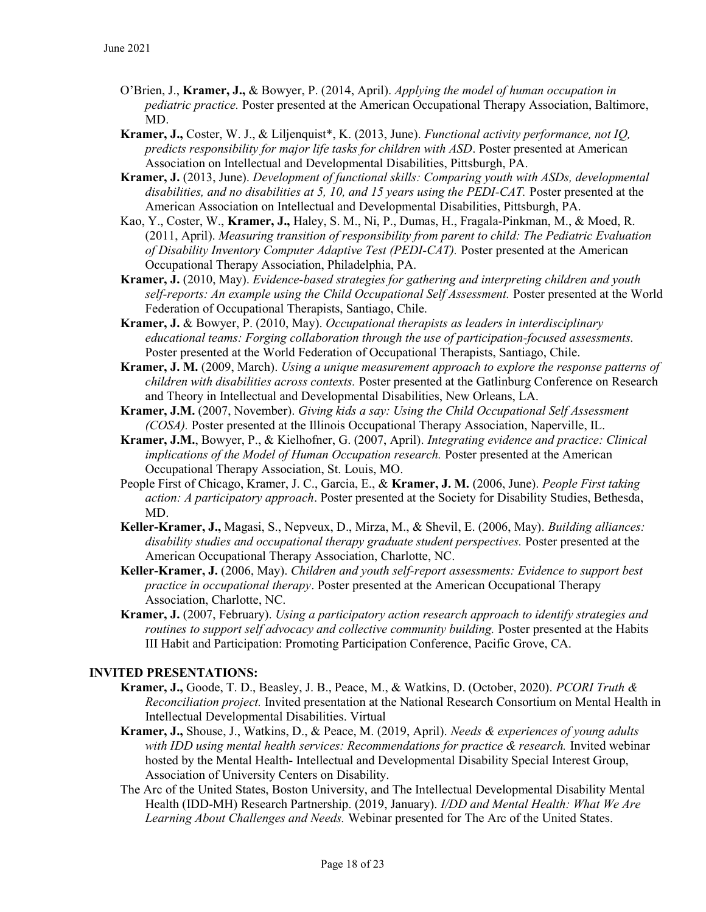- O'Brien, J., Kramer, J., & Bowyer, P. (2014, April). Applying the model of human occupation in pediatric practice. Poster presented at the American Occupational Therapy Association, Baltimore, MD.
- Kramer, J., Coster, W. J., & Liljenquist\*, K. (2013, June). Functional activity performance, not IQ, predicts responsibility for major life tasks for children with ASD. Poster presented at American Association on Intellectual and Developmental Disabilities, Pittsburgh, PA.
- Kramer, J. (2013, June). Development of functional skills: Comparing youth with ASDs, developmental disabilities, and no disabilities at 5, 10, and 15 years using the PEDI-CAT. Poster presented at the American Association on Intellectual and Developmental Disabilities, Pittsburgh, PA.
- Kao, Y., Coster, W., Kramer, J., Haley, S. M., Ni, P., Dumas, H., Fragala-Pinkman, M., & Moed, R. (2011, April). Measuring transition of responsibility from parent to child: The Pediatric Evaluation of Disability Inventory Computer Adaptive Test (PEDI-CAT). Poster presented at the American Occupational Therapy Association, Philadelphia, PA.
- Kramer, J. (2010, May). Evidence-based strategies for gathering and interpreting children and youth self-reports: An example using the Child Occupational Self Assessment. Poster presented at the World Federation of Occupational Therapists, Santiago, Chile.
- Kramer, J. & Bowyer, P. (2010, May). Occupational therapists as leaders in interdisciplinary educational teams: Forging collaboration through the use of participation-focused assessments. Poster presented at the World Federation of Occupational Therapists, Santiago, Chile.
- Kramer, J. M. (2009, March). Using a unique measurement approach to explore the response patterns of children with disabilities across contexts. Poster presented at the Gatlinburg Conference on Research and Theory in Intellectual and Developmental Disabilities, New Orleans, LA.
- Kramer, J.M. (2007, November). Giving kids a say: Using the Child Occupational Self Assessment (COSA). Poster presented at the Illinois Occupational Therapy Association, Naperville, IL.
- Kramer, J.M., Bowyer, P., & Kielhofner, G. (2007, April). Integrating evidence and practice: Clinical implications of the Model of Human Occupation research. Poster presented at the American Occupational Therapy Association, St. Louis, MO.
- People First of Chicago, Kramer, J. C., Garcia, E., & Kramer, J. M. (2006, June). People First taking action: A participatory approach. Poster presented at the Society for Disability Studies, Bethesda, MD.
- Keller-Kramer, J., Magasi, S., Nepveux, D., Mirza, M., & Shevil, E. (2006, May). Building alliances: disability studies and occupational therapy graduate student perspectives. Poster presented at the American Occupational Therapy Association, Charlotte, NC.
- Keller-Kramer, J. (2006, May). Children and youth self-report assessments: Evidence to support best practice in occupational therapy. Poster presented at the American Occupational Therapy Association, Charlotte, NC.
- Kramer, J. (2007, February). Using a participatory action research approach to identify strategies and routines to support self advocacy and collective community building. Poster presented at the Habits III Habit and Participation: Promoting Participation Conference, Pacific Grove, CA.

### INVITED PRESENTATIONS:

- Kramer, J., Goode, T. D., Beasley, J. B., Peace, M., & Watkins, D. (October, 2020). PCORI Truth & Reconciliation project. Invited presentation at the National Research Consortium on Mental Health in Intellectual Developmental Disabilities. Virtual
- Kramer, J., Shouse, J., Watkins, D., & Peace, M. (2019, April). Needs & experiences of young adults with IDD using mental health services: Recommendations for practice & research. Invited webinar hosted by the Mental Health- Intellectual and Developmental Disability Special Interest Group, Association of University Centers on Disability.
- The Arc of the United States, Boston University, and The Intellectual Developmental Disability Mental Health (IDD-MH) Research Partnership. (2019, January). I/DD and Mental Health: What We Are Learning About Challenges and Needs. Webinar presented for The Arc of the United States.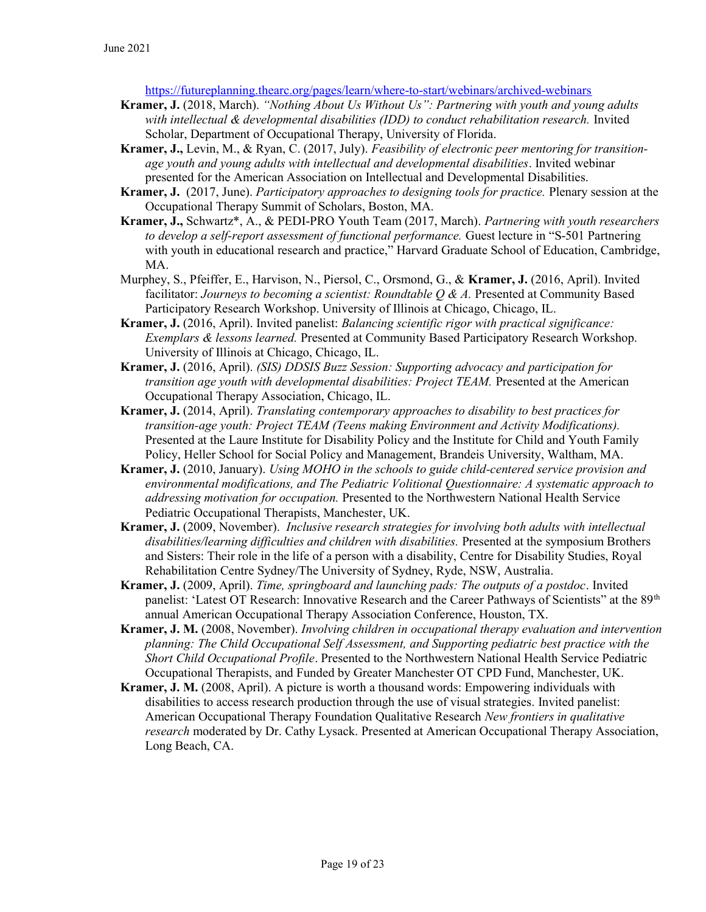https://futureplanning.thearc.org/pages/learn/where-to-start/webinars/archived-webinars

- Kramer, J. (2018, March). "Nothing About Us Without Us": Partnering with youth and young adults with intellectual & developmental disabilities (IDD) to conduct rehabilitation research. Invited Scholar, Department of Occupational Therapy, University of Florida.
- Kramer, J., Levin, M., & Ryan, C. (2017, July). Feasibility of electronic peer mentoring for transitionage youth and young adults with intellectual and developmental disabilities. Invited webinar presented for the American Association on Intellectual and Developmental Disabilities.
- **Kramer, J.** (2017, June). *Participatory approaches to designing tools for practice*. Plenary session at the Occupational Therapy Summit of Scholars, Boston, MA.
- Kramer, J., Schwartz\*, A., & PEDI-PRO Youth Team (2017, March). Partnering with youth researchers to develop a self-report assessment of functional performance. Guest lecture in "S-501 Partnering with youth in educational research and practice," Harvard Graduate School of Education, Cambridge, MA.
- Murphey, S., Pfeiffer, E., Harvison, N., Piersol, C., Orsmond, G., & Kramer, J. (2016, April). Invited facilitator: Journeys to becoming a scientist: Roundtable  $O \& A$ . Presented at Community Based Participatory Research Workshop. University of Illinois at Chicago, Chicago, IL.
- Kramer, J. (2016, April). Invited panelist: Balancing scientific rigor with practical significance: Exemplars & lessons learned. Presented at Community Based Participatory Research Workshop. University of Illinois at Chicago, Chicago, IL.
- Kramer, J. (2016, April). (SIS) DDSIS Buzz Session: Supporting advocacy and participation for transition age youth with developmental disabilities: Project TEAM. Presented at the American Occupational Therapy Association, Chicago, IL.
- Kramer, J. (2014, April). Translating contemporary approaches to disability to best practices for transition-age youth: Project TEAM (Teens making Environment and Activity Modifications). Presented at the Laure Institute for Disability Policy and the Institute for Child and Youth Family Policy, Heller School for Social Policy and Management, Brandeis University, Waltham, MA.
- Kramer, J. (2010, January). Using MOHO in the schools to guide child-centered service provision and environmental modifications, and The Pediatric Volitional Questionnaire: A systematic approach to addressing motivation for occupation. Presented to the Northwestern National Health Service Pediatric Occupational Therapists, Manchester, UK.
- Kramer, J. (2009, November). Inclusive research strategies for involving both adults with intellectual disabilities/learning difficulties and children with disabilities. Presented at the symposium Brothers and Sisters: Their role in the life of a person with a disability, Centre for Disability Studies, Royal Rehabilitation Centre Sydney/The University of Sydney, Ryde, NSW, Australia.
- Kramer, J. (2009, April). Time, springboard and launching pads: The outputs of a postdoc. Invited panelist: 'Latest OT Research: Innovative Research and the Career Pathways of Scientists" at the 89<sup>th</sup> annual American Occupational Therapy Association Conference, Houston, TX.
- Kramer, J. M. (2008, November). Involving children in occupational therapy evaluation and intervention planning: The Child Occupational Self Assessment, and Supporting pediatric best practice with the Short Child Occupational Profile. Presented to the Northwestern National Health Service Pediatric Occupational Therapists, and Funded by Greater Manchester OT CPD Fund, Manchester, UK.
- Kramer, J. M. (2008, April). A picture is worth a thousand words: Empowering individuals with disabilities to access research production through the use of visual strategies. Invited panelist: American Occupational Therapy Foundation Qualitative Research New frontiers in qualitative research moderated by Dr. Cathy Lysack. Presented at American Occupational Therapy Association, Long Beach, CA.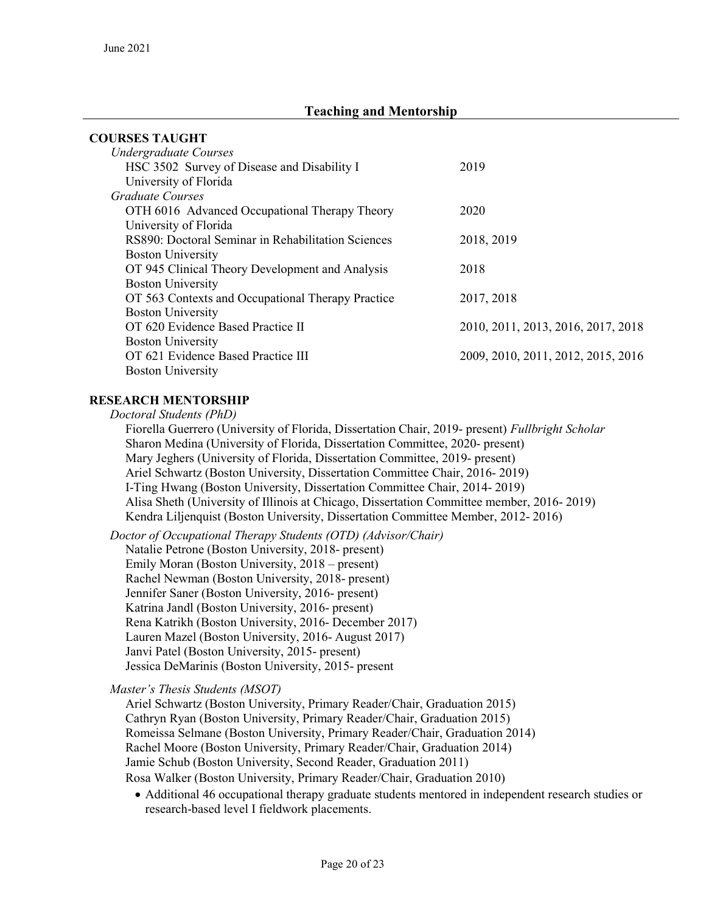# Teaching and Mentorship

| <b>COURSES TAUGHT</b>                              |                                    |
|----------------------------------------------------|------------------------------------|
| <b>Undergraduate Courses</b>                       |                                    |
| HSC 3502 Survey of Disease and Disability I        | 2019                               |
| University of Florida                              |                                    |
| Graduate Courses                                   |                                    |
| OTH 6016 Advanced Occupational Therapy Theory      | 2020                               |
| University of Florida                              |                                    |
| RS890: Doctoral Seminar in Rehabilitation Sciences | 2018, 2019                         |
| <b>Boston University</b>                           |                                    |
| OT 945 Clinical Theory Development and Analysis    | 2018                               |
| <b>Boston University</b>                           |                                    |
| OT 563 Contexts and Occupational Therapy Practice  | 2017, 2018                         |
| <b>Boston University</b>                           |                                    |
| OT 620 Evidence Based Practice II                  | 2010, 2011, 2013, 2016, 2017, 2018 |
| <b>Boston University</b>                           |                                    |
| OT 621 Evidence Based Practice III                 | 2009, 2010, 2011, 2012, 2015, 2016 |
| <b>Boston University</b>                           |                                    |

#### RESEARCH MENTORSHIP

Doctoral Students (PhD)

 Fiorella Guerrero (University of Florida, Dissertation Chair, 2019- present) Fullbright Scholar Sharon Medina (University of Florida, Dissertation Committee, 2020- present) Mary Jeghers (University of Florida, Dissertation Committee, 2019- present) Ariel Schwartz (Boston University, Dissertation Committee Chair, 2016- 2019) I-Ting Hwang (Boston University, Dissertation Committee Chair, 2014- 2019) Alisa Sheth (University of Illinois at Chicago, Dissertation Committee member, 2016- 2019) Kendra Liljenquist (Boston University, Dissertation Committee Member, 2012- 2016)

Doctor of Occupational Therapy Students (OTD) (Advisor/Chair) Natalie Petrone (Boston University, 2018- present) Emily Moran (Boston University, 2018 – present) Rachel Newman (Boston University, 2018- present) Jennifer Saner (Boston University, 2016- present) Katrina Jandl (Boston University, 2016- present) Rena Katrikh (Boston University, 2016- December 2017) Lauren Mazel (Boston University, 2016- August 2017) Janvi Patel (Boston University, 2015- present) Jessica DeMarinis (Boston University, 2015- present

Master's Thesis Students (MSOT)

 Ariel Schwartz (Boston University, Primary Reader/Chair, Graduation 2015) Cathryn Ryan (Boston University, Primary Reader/Chair, Graduation 2015) Romeissa Selmane (Boston University, Primary Reader/Chair, Graduation 2014) Rachel Moore (Boston University, Primary Reader/Chair, Graduation 2014) Jamie Schub (Boston University, Second Reader, Graduation 2011) Rosa Walker (Boston University, Primary Reader/Chair, Graduation 2010)

 Additional 46 occupational therapy graduate students mentored in independent research studies or research-based level I fieldwork placements.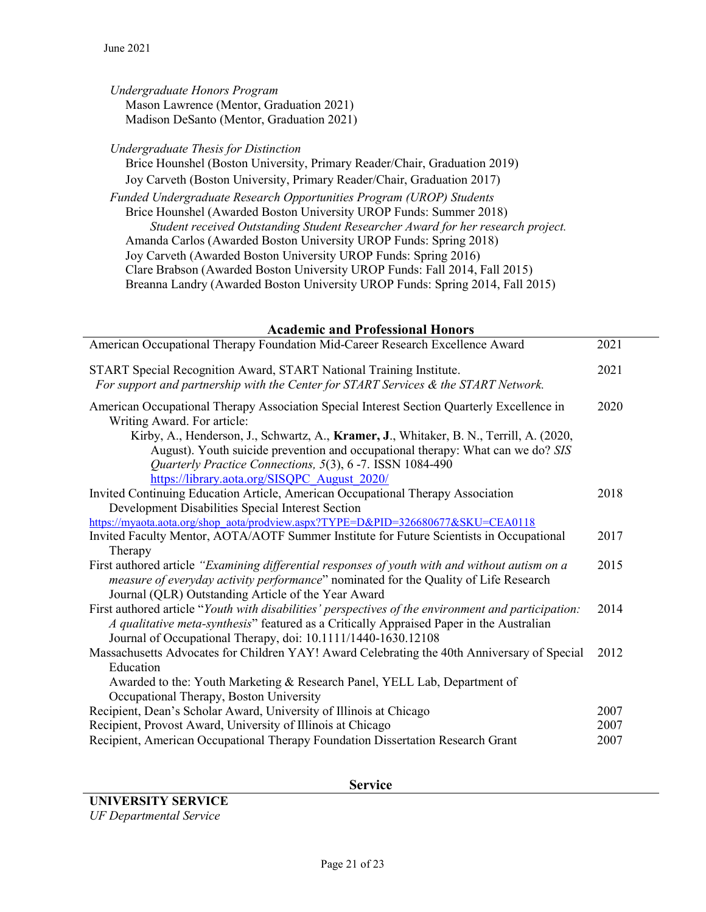Undergraduate Honors Program Mason Lawrence (Mentor, Graduation 2021) Madison DeSanto (Mentor, Graduation 2021)

Undergraduate Thesis for Distinction

 Brice Hounshel (Boston University, Primary Reader/Chair, Graduation 2019) Joy Carveth (Boston University, Primary Reader/Chair, Graduation 2017) Funded Undergraduate Research Opportunities Program (UROP) Students Brice Hounshel (Awarded Boston University UROP Funds: Summer 2018) Student received Outstanding Student Researcher Award for her research project. Amanda Carlos (Awarded Boston University UROP Funds: Spring 2018) Joy Carveth (Awarded Boston University UROP Funds: Spring 2016) Clare Brabson (Awarded Boston University UROP Funds: Fall 2014, Fall 2015) Breanna Landry (Awarded Boston University UROP Funds: Spring 2014, Fall 2015)

#### Academic and Professional Honors American Occupational Therapy Foundation Mid-Career Research Excellence Award 2021 START Special Recognition Award, START National Training Institute. For support and partnership with the Center for START Services & the START Network. 2021 American Occupational Therapy Association Special Interest Section Quarterly Excellence in Writing Award. For article: Kirby, A., Henderson, J., Schwartz, A., Kramer, J., Whitaker, B. N., Terrill, A. (2020, August). Youth suicide prevention and occupational therapy: What can we do? SIS Quarterly Practice Connections, 5(3), 6 -7. ISSN 1084-490 https://library.aota.org/SISQPC\_August\_2020/ 2020 Invited Continuing Education Article, American Occupational Therapy Association Development Disabilities Special Interest Section https://myaota.aota.org/shop\_aota/prodview.aspx?TYPE=D&PID=326680677&SKU=CEA0118 2018 Invited Faculty Mentor, AOTA/AOTF Summer Institute for Future Scientists in Occupational Therapy 2017 First authored article "Examining differential responses of youth with and without autism on a measure of everyday activity performance" nominated for the Quality of Life Research Journal (QLR) Outstanding Article of the Year Award 2015 First authored article "Youth with disabilities' perspectives of the environment and participation: A qualitative meta-synthesis" featured as a Critically Appraised Paper in the Australian 2014

Journal of Occupational Therapy, doi: 10.1111/1440-1630.12108 Massachusetts Advocates for Children YAY! Award Celebrating the 40th Anniversary of Special Education Awarded to the: Youth Marketing & Research Panel, YELL Lab, Department of Occupational Therapy, Boston University 2012 Recipient, Dean's Scholar Award, University of Illinois at Chicago 2007 Recipient, Provost Award, University of Illinois at Chicago 2007

Recipient, American Occupational Therapy Foundation Dissertation Research Grant 2007

Service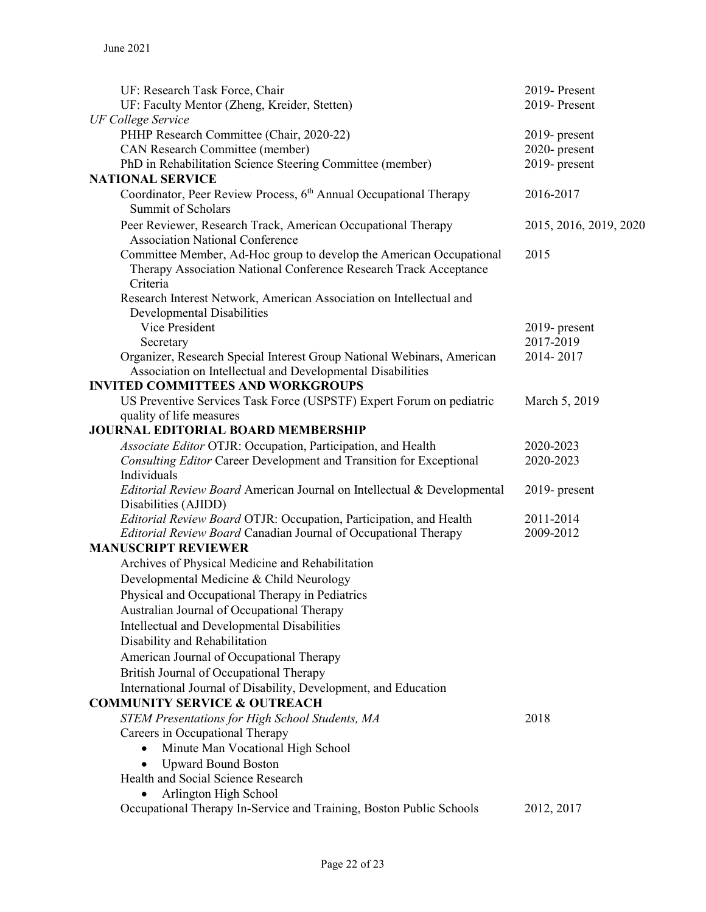| UF: Research Task Force, Chair                                                                                                           | 2019-Present           |
|------------------------------------------------------------------------------------------------------------------------------------------|------------------------|
| UF: Faculty Mentor (Zheng, Kreider, Stetten)                                                                                             | 2019-Present           |
| <b>UF College Service</b>                                                                                                                |                        |
| PHHP Research Committee (Chair, 2020-22)                                                                                                 | 2019- present          |
| CAN Research Committee (member)                                                                                                          | 2020-present           |
| PhD in Rehabilitation Science Steering Committee (member)                                                                                | 2019- present          |
| <b>NATIONAL SERVICE</b>                                                                                                                  |                        |
| Coordinator, Peer Review Process, 6 <sup>th</sup> Annual Occupational Therapy<br><b>Summit of Scholars</b>                               | 2016-2017              |
| Peer Reviewer, Research Track, American Occupational Therapy<br><b>Association National Conference</b>                                   | 2015, 2016, 2019, 2020 |
| Committee Member, Ad-Hoc group to develop the American Occupational<br>Therapy Association National Conference Research Track Acceptance | 2015                   |
| Criteria                                                                                                                                 |                        |
| Research Interest Network, American Association on Intellectual and                                                                      |                        |
| Developmental Disabilities                                                                                                               |                        |
| Vice President                                                                                                                           | $2019$ - present       |
| Secretary                                                                                                                                | 2017-2019              |
| Organizer, Research Special Interest Group National Webinars, American                                                                   | 2014-2017              |
| Association on Intellectual and Developmental Disabilities<br><b>INVITED COMMITTEES AND WORKGROUPS</b>                                   |                        |
|                                                                                                                                          |                        |
| US Preventive Services Task Force (USPSTF) Expert Forum on pediatric<br>quality of life measures                                         | March 5, 2019          |
| <b>JOURNAL EDITORIAL BOARD MEMBERSHIP</b>                                                                                                |                        |
| Associate Editor OTJR: Occupation, Participation, and Health                                                                             | 2020-2023              |
| Consulting Editor Career Development and Transition for Exceptional                                                                      | 2020-2023              |
| Individuals                                                                                                                              |                        |
| Editorial Review Board American Journal on Intellectual & Developmental<br>Disabilities (AJIDD)                                          | $2019$ - present       |
| Editorial Review Board OTJR: Occupation, Participation, and Health                                                                       | 2011-2014              |
| Editorial Review Board Canadian Journal of Occupational Therapy                                                                          | 2009-2012              |
| <b>MANUSCRIPT REVIEWER</b>                                                                                                               |                        |
| Archives of Physical Medicine and Rehabilitation                                                                                         |                        |
| Developmental Medicine & Child Neurology                                                                                                 |                        |
| Physical and Occupational Therapy in Pediatrics                                                                                          |                        |
| Australian Journal of Occupational Therapy                                                                                               |                        |
| Intellectual and Developmental Disabilities                                                                                              |                        |
| Disability and Rehabilitation                                                                                                            |                        |
| American Journal of Occupational Therapy                                                                                                 |                        |
| British Journal of Occupational Therapy                                                                                                  |                        |
| International Journal of Disability, Development, and Education                                                                          |                        |
| <b>COMMUNITY SERVICE &amp; OUTREACH</b>                                                                                                  |                        |
| <b>STEM Presentations for High School Students, MA</b>                                                                                   | 2018                   |
| Careers in Occupational Therapy                                                                                                          |                        |
| Minute Man Vocational High School                                                                                                        |                        |
| <b>Upward Bound Boston</b>                                                                                                               |                        |
| Health and Social Science Research                                                                                                       |                        |
| Arlington High School                                                                                                                    |                        |
| Occupational Therapy In-Service and Training, Boston Public Schools                                                                      | 2012, 2017             |
|                                                                                                                                          |                        |